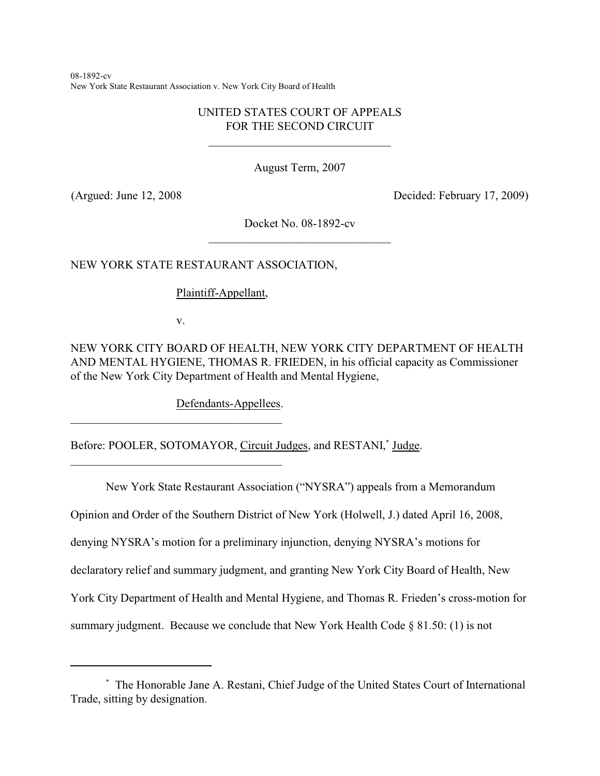08-1892-cv New York State Restaurant Association v. New York City Board of Health

# UNITED STATES COURT OF APPEALS FOR THE SECOND CIRCUIT

\_\_\_\_\_\_\_\_\_\_\_\_\_\_\_\_\_\_\_\_\_\_\_\_\_\_\_\_\_\_\_

August Term, 2007

(Argued: June 12, 2008 Decided: February 17, 2009)

Docket No. 08-1892-cv \_\_\_\_\_\_\_\_\_\_\_\_\_\_\_\_\_\_\_\_\_\_\_\_\_\_\_\_\_\_\_

NEW YORK STATE RESTAURANT ASSOCIATION,

Plaintiff-Appellant,

v.

\_\_\_\_\_\_\_\_\_\_\_\_\_\_\_\_\_\_\_\_\_\_\_\_\_\_\_\_\_\_\_\_\_\_\_\_

\_\_\_\_\_\_\_\_\_\_\_\_\_\_\_\_\_\_\_\_\_\_\_\_\_\_\_\_\_\_\_\_\_\_\_\_

NEW YORK CITY BOARD OF HEALTH, NEW YORK CITY DEPARTMENT OF HEALTH AND MENTAL HYGIENE, THOMAS R. FRIEDEN, in his official capacity as Commissioner of the New York City Department of Health and Mental Hygiene,

Defendants-Appellees.

Before: POOLER, SOTOMAYOR, Circuit Judges, and RESTANI,<sup>\*</sup> Judge.

New York State Restaurant Association ("NYSRA") appeals from a Memorandum

Opinion and Order of the Southern District of New York (Holwell, J.) dated April 16, 2008,

denying NYSRA's motion for a preliminary injunction, denying NYSRA's motions for

declaratory relief and summary judgment, and granting New York City Board of Health, New

York City Department of Health and Mental Hygiene, and Thomas R. Frieden's cross-motion for

summary judgment. Because we conclude that New York Health Code  $\S 81.50$ : (1) is not

The Honorable Jane A. Restani, Chief Judge of the United States Court of International \* Trade, sitting by designation.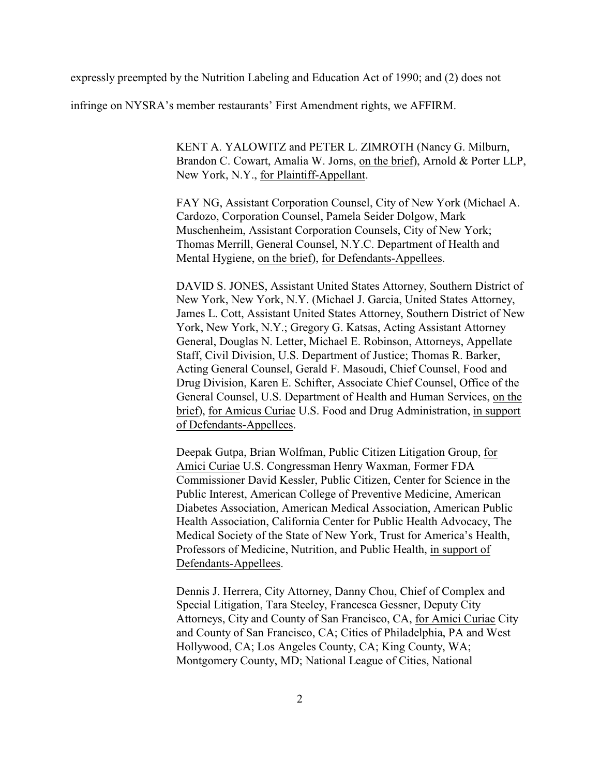expressly preempted by the Nutrition Labeling and Education Act of 1990; and (2) does not

infringe on NYSRA's member restaurants' First Amendment rights, we AFFIRM.

KENT A. YALOWITZ and PETER L. ZIMROTH (Nancy G. Milburn, Brandon C. Cowart, Amalia W. Jorns, on the brief), Arnold & Porter LLP, New York, N.Y., for Plaintiff-Appellant.

FAY NG, Assistant Corporation Counsel, City of New York (Michael A. Cardozo, Corporation Counsel, Pamela Seider Dolgow, Mark Muschenheim, Assistant Corporation Counsels, City of New York; Thomas Merrill, General Counsel, N.Y.C. Department of Health and Mental Hygiene, on the brief), for Defendants-Appellees.

DAVID S. JONES, Assistant United States Attorney, Southern District of New York, New York, N.Y. (Michael J. Garcia, United States Attorney, James L. Cott, Assistant United States Attorney, Southern District of New York, New York, N.Y.; Gregory G. Katsas, Acting Assistant Attorney General, Douglas N. Letter, Michael E. Robinson, Attorneys, Appellate Staff, Civil Division, U.S. Department of Justice; Thomas R. Barker, Acting General Counsel, Gerald F. Masoudi, Chief Counsel, Food and Drug Division, Karen E. Schifter, Associate Chief Counsel, Office of the General Counsel, U.S. Department of Health and Human Services, on the brief), for Amicus Curiae U.S. Food and Drug Administration, in support of Defendants-Appellees.

Deepak Gutpa, Brian Wolfman, Public Citizen Litigation Group, for Amici Curiae U.S. Congressman Henry Waxman, Former FDA Commissioner David Kessler, Public Citizen, Center for Science in the Public Interest, American College of Preventive Medicine, American Diabetes Association, American Medical Association, American Public Health Association, California Center for Public Health Advocacy, The Medical Society of the State of New York, Trust for America's Health, Professors of Medicine, Nutrition, and Public Health, in support of Defendants-Appellees.

Dennis J. Herrera, City Attorney, Danny Chou, Chief of Complex and Special Litigation, Tara Steeley, Francesca Gessner, Deputy City Attorneys, City and County of San Francisco, CA, for Amici Curiae City and County of San Francisco, CA; Cities of Philadelphia, PA and West Hollywood, CA; Los Angeles County, CA; King County, WA; Montgomery County, MD; National League of Cities, National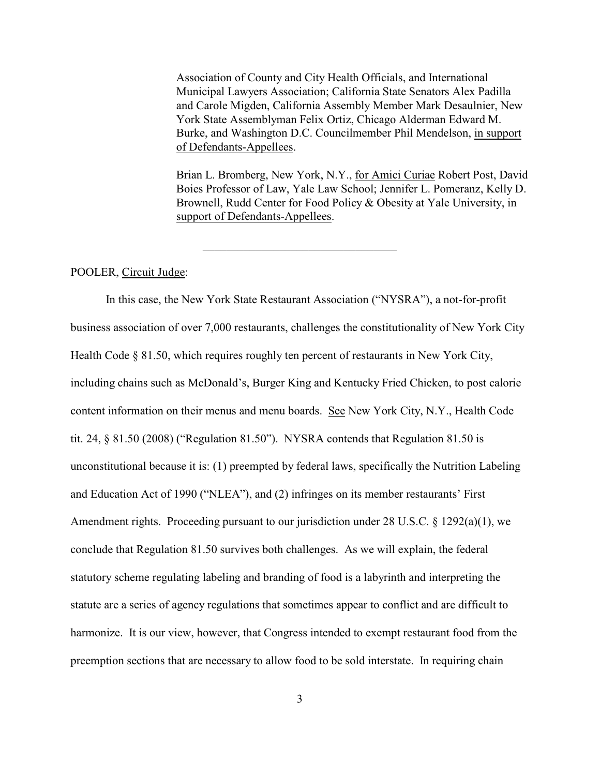Association of County and City Health Officials, and International Municipal Lawyers Association; California State Senators Alex Padilla and Carole Migden, California Assembly Member Mark Desaulnier, New York State Assemblyman Felix Ortiz, Chicago Alderman Edward M. Burke, and Washington D.C. Councilmember Phil Mendelson, in support of Defendants-Appellees.

Brian L. Bromberg, New York, N.Y., for Amici Curiae Robert Post, David Boies Professor of Law, Yale Law School; Jennifer L. Pomeranz, Kelly D. Brownell, Rudd Center for Food Policy & Obesity at Yale University, in support of Defendants-Appellees.

POOLER, Circuit Judge:

In this case, the New York State Restaurant Association ("NYSRA"), a not-for-profit business association of over 7,000 restaurants, challenges the constitutionality of New York City Health Code § 81.50, which requires roughly ten percent of restaurants in New York City, including chains such as McDonald's, Burger King and Kentucky Fried Chicken, to post calorie content information on their menus and menu boards. See New York City, N.Y., Health Code tit. 24, § 81.50 (2008) ("Regulation 81.50"). NYSRA contends that Regulation 81.50 is unconstitutional because it is: (1) preempted by federal laws, specifically the Nutrition Labeling and Education Act of 1990 ("NLEA"), and (2) infringes on its member restaurants' First Amendment rights. Proceeding pursuant to our jurisdiction under 28 U.S.C. § 1292(a)(1), we conclude that Regulation 81.50 survives both challenges. As we will explain, the federal statutory scheme regulating labeling and branding of food is a labyrinth and interpreting the statute are a series of agency regulations that sometimes appear to conflict and are difficult to harmonize. It is our view, however, that Congress intended to exempt restaurant food from the preemption sections that are necessary to allow food to be sold interstate. In requiring chain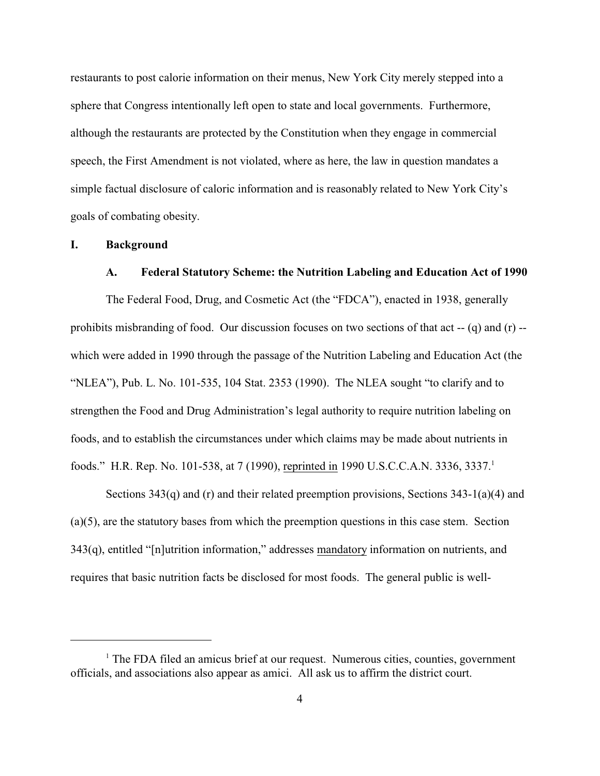restaurants to post calorie information on their menus, New York City merely stepped into a sphere that Congress intentionally left open to state and local governments. Furthermore, although the restaurants are protected by the Constitution when they engage in commercial speech, the First Amendment is not violated, where as here, the law in question mandates a simple factual disclosure of caloric information and is reasonably related to New York City's goals of combating obesity.

## **I. Background**

#### **A. Federal Statutory Scheme: the Nutrition Labeling and Education Act of 1990**

The Federal Food, Drug, and Cosmetic Act (the "FDCA"), enacted in 1938, generally prohibits misbranding of food. Our discussion focuses on two sections of that act -- (q) and (r) - which were added in 1990 through the passage of the Nutrition Labeling and Education Act (the "NLEA"), Pub. L. No. 101-535, 104 Stat. 2353 (1990). The NLEA sought "to clarify and to strengthen the Food and Drug Administration's legal authority to require nutrition labeling on foods, and to establish the circumstances under which claims may be made about nutrients in foods." H.R. Rep. No. 101-538, at 7 (1990), reprinted in 1990 U.S.C.C.A.N. 3336, 3337.<sup>1</sup>

Sections 343(q) and (r) and their related preemption provisions, Sections 343-1(a)(4) and (a)(5), are the statutory bases from which the preemption questions in this case stem. Section 343(q), entitled "[n]utrition information," addresses mandatory information on nutrients, and requires that basic nutrition facts be disclosed for most foods. The general public is well-

 $<sup>1</sup>$  The FDA filed an amicus brief at our request. Numerous cities, counties, government</sup> officials, and associations also appear as amici. All ask us to affirm the district court.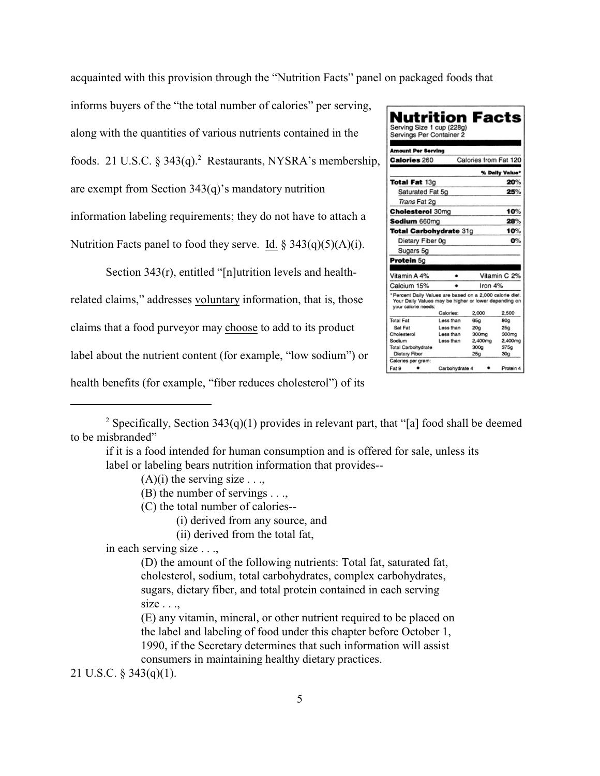acquainted with this provision through the "Nutrition Facts" panel on packaged foods that

informs buyers of the "the total number of calories" per serving, along with the quantities of various nutrients contained in the foods. 21 U.S.C.  $\S 343(q)$ . Restaurants, NYSRA's membership, are exempt from Section 343(q)'s mandatory nutrition information labeling requirements; they do not have to attach a Nutrition Facts panel to food they serve. Id.  $\S$  343(q)(5)(A)(i).

Section 343(r), entitled "[n]utrition levels and healthrelated claims," addresses voluntary information, that is, those claims that a food purveyor may choose to add to its product label about the nutrient content (for example, "low sodium") or health benefits (for example, "fiber reduces cholesterol") of its

| Nutrition Facts                                                                                                                          |                |                       |                 |
|------------------------------------------------------------------------------------------------------------------------------------------|----------------|-----------------------|-----------------|
|                                                                                                                                          |                |                       |                 |
| Serving Size 1 cup (228g)<br>Servings Per Container 2                                                                                    |                |                       |                 |
|                                                                                                                                          |                |                       |                 |
| <b>Amount Per Serving</b>                                                                                                                |                |                       |                 |
|                                                                                                                                          |                |                       |                 |
| <b>Calories 260</b>                                                                                                                      |                | Calories from Fat 120 |                 |
|                                                                                                                                          |                |                       | % Dally Value*  |
| <b>Total Fat 13g</b>                                                                                                                     |                | 20%                   |                 |
| Saturated Fat 5g                                                                                                                         |                |                       | 25%             |
| Trans Fat 2g                                                                                                                             |                |                       |                 |
| <b>Cholesterol</b> 30mg                                                                                                                  |                |                       | 10%             |
| Sodium 660ma                                                                                                                             |                |                       | 28%             |
| Total Carbohydrate 31g                                                                                                                   |                |                       | 10%             |
| Dietary Fiber 0g                                                                                                                         |                |                       | О%              |
| Sugars 5g                                                                                                                                |                |                       |                 |
| Protein 5g                                                                                                                               |                |                       |                 |
|                                                                                                                                          |                |                       |                 |
| Vitamin A 4%                                                                                                                             |                | Vitamin C 2%          |                 |
| Calcium 15%                                                                                                                              |                | Iron $4%$             |                 |
| *Percent Daily Values are based on a 2,000 calorie diet.<br>Your Daily Values may be higher or lower depending on<br>your calorie needs: |                |                       |                 |
|                                                                                                                                          | Calories:      | 2,000                 | 2.500           |
| <b>Total Fat</b>                                                                                                                         | Less than      | 65g                   | 80a             |
| Sat Fat                                                                                                                                  | Less than      | 20 <sub>q</sub>       | 25 <sub>Q</sub> |
| Cholesterol                                                                                                                              | Less than      | 300mg                 | 300mg           |
| Sodium                                                                                                                                   | Less than      | 2,400mg               | 2,400mg         |
| Total Carbohydrate                                                                                                                       |                | 300 <sub>Q</sub>      | 375g            |
| <b>Dietary Fiber</b>                                                                                                                     |                | 25 <sub>g</sub>       | 30 <sub>Q</sub> |
| Calories per gram:                                                                                                                       |                |                       |                 |
| Fat 9                                                                                                                                    | Carbohydrate 4 |                       | Protein 4       |

 $(A)(i)$  the serving size ...,

(B) the number of servings . . .,

(C) the total number of calories--

(i) derived from any source, and

(ii) derived from the total fat,

in each serving size . . .,

(D) the amount of the following nutrients: Total fat, saturated fat, cholesterol, sodium, total carbohydrates, complex carbohydrates, sugars, dietary fiber, and total protein contained in each serving  $size \dots$ 

(E) any vitamin, mineral, or other nutrient required to be placed on the label and labeling of food under this chapter before October 1, 1990, if the Secretary determines that such information will assist consumers in maintaining healthy dietary practices.

21 U.S.C. § 343(q)(1).

<sup>&</sup>lt;sup>2</sup> Specifically, Section 343(q)(1) provides in relevant part, that "[a] food shall be deemed to be misbranded"

if it is a food intended for human consumption and is offered for sale, unless its label or labeling bears nutrition information that provides--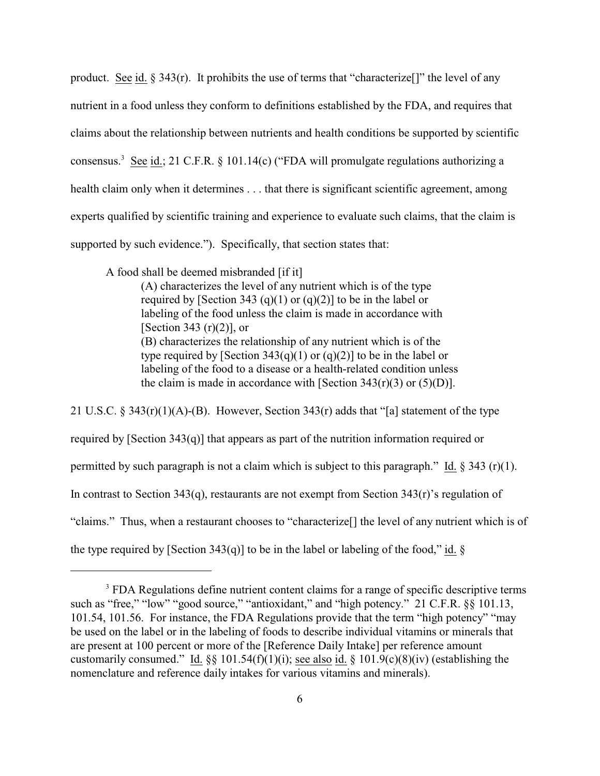product. See id.  $\S 343(r)$ . It prohibits the use of terms that "characterize.]" the level of any nutrient in a food unless they conform to definitions established by the FDA, and requires that claims about the relationship between nutrients and health conditions be supported by scientific consensus.<sup>3</sup> See id.; 21 C.F.R. § 101.14(c) ("FDA will promulgate regulations authorizing a health claim only when it determines . . . that there is significant scientific agreement, among experts qualified by scientific training and experience to evaluate such claims, that the claim is supported by such evidence."). Specifically, that section states that:

A food shall be deemed misbranded [if it]

(A) characterizes the level of any nutrient which is of the type required by [Section 343 (q)(1) or (q)(2)] to be in the label or labeling of the food unless the claim is made in accordance with [Section 343  $(r)(2)$ ], or (B) characterizes the relationship of any nutrient which is of the type required by [Section 343(q)(1) or (q)(2)] to be in the label or labeling of the food to a disease or a health-related condition unless the claim is made in accordance with [Section  $343(r)(3)$  or  $(5)(D)$ ].

21 U.S.C. § 343(r)(1)(A)-(B). However, Section 343(r) adds that "[a] statement of the type required by [Section 343(q)] that appears as part of the nutrition information required or permitted by such paragraph is not a claim which is subject to this paragraph." Id.  $\S 343$  (r)(1). In contrast to Section  $343(q)$ , restaurants are not exempt from Section  $343(r)$ 's regulation of "claims." Thus, when a restaurant chooses to "characterize[] the level of any nutrient which is of the type required by [Section 343(q)] to be in the label or labeling of the food," id.  $\S$ 

<sup>&</sup>lt;sup>3</sup> FDA Regulations define nutrient content claims for a range of specific descriptive terms such as "free," "low" "good source," "antioxidant," and "high potency." 21 C.F.R. §§ 101.13, 101.54, 101.56. For instance, the FDA Regulations provide that the term "high potency" "may be used on the label or in the labeling of foods to describe individual vitamins or minerals that are present at 100 percent or more of the [Reference Daily Intake] per reference amount customarily consumed." Id.  $\S$  101.54(f)(1)(i); see also id.  $\S$  101.9(c)(8)(iv) (establishing the nomenclature and reference daily intakes for various vitamins and minerals).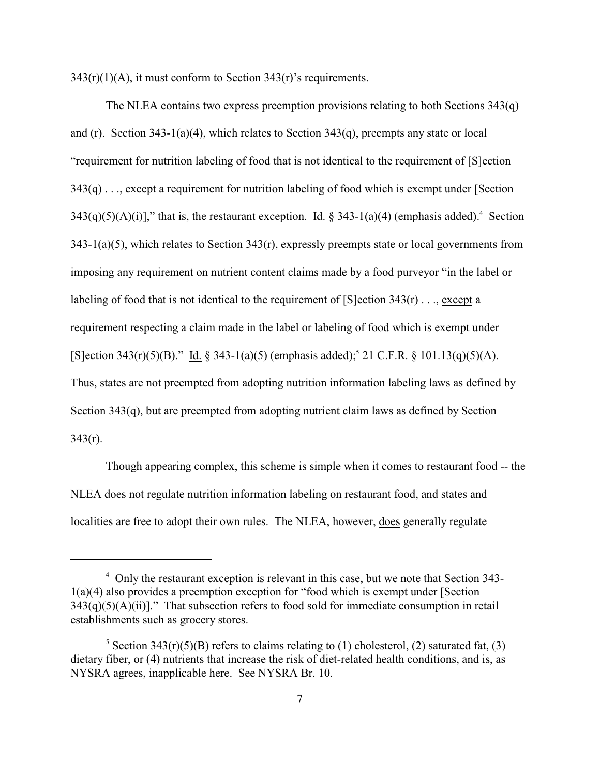$343(r)(1)(A)$ , it must conform to Section  $343(r)$ 's requirements.

The NLEA contains two express preemption provisions relating to both Sections 343(q) and (r). Section 343-1(a)(4), which relates to Section 343(q), preempts any state or local "requirement for nutrition labeling of food that is not identical to the requirement of [S]ection 343(q) . . ., except a requirement for nutrition labeling of food which is exempt under [Section  $343(q)(5)(A)(i)$ ]," that is, the restaurant exception. Id. § 343-1(a)(4) (emphasis added).<sup>4</sup> Section  $343-1(a)(5)$ , which relates to Section  $343(r)$ , expressly preempts state or local governments from imposing any requirement on nutrient content claims made by a food purveyor "in the label or labeling of food that is not identical to the requirement of  $[S]$ ection  $343(r)$ ..., except a requirement respecting a claim made in the label or labeling of food which is exempt under [S]ection 343(r)(5)(B)." Id. § 343-1(a)(5) (emphasis added);<sup>5</sup> 21 C.F.R. § 101.13(q)(5)(A). Thus, states are not preempted from adopting nutrition information labeling laws as defined by Section 343(q), but are preempted from adopting nutrient claim laws as defined by Section  $343(r)$ .

Though appearing complex, this scheme is simple when it comes to restaurant food -- the NLEA does not regulate nutrition information labeling on restaurant food, and states and localities are free to adopt their own rules. The NLEA, however, does generally regulate

<sup>&</sup>lt;sup>4</sup> Only the restaurant exception is relevant in this case, but we note that Section 343-1(a)(4) also provides a preemption exception for "food which is exempt under [Section  $343(q)(5)(A)(ii)$ ." That subsection refers to food sold for immediate consumption in retail establishments such as grocery stores.

<sup>&</sup>lt;sup>5</sup> Section 343(r)(5)(B) refers to claims relating to (1) cholesterol, (2) saturated fat, (3) dietary fiber, or (4) nutrients that increase the risk of diet-related health conditions, and is, as NYSRA agrees, inapplicable here. See NYSRA Br. 10.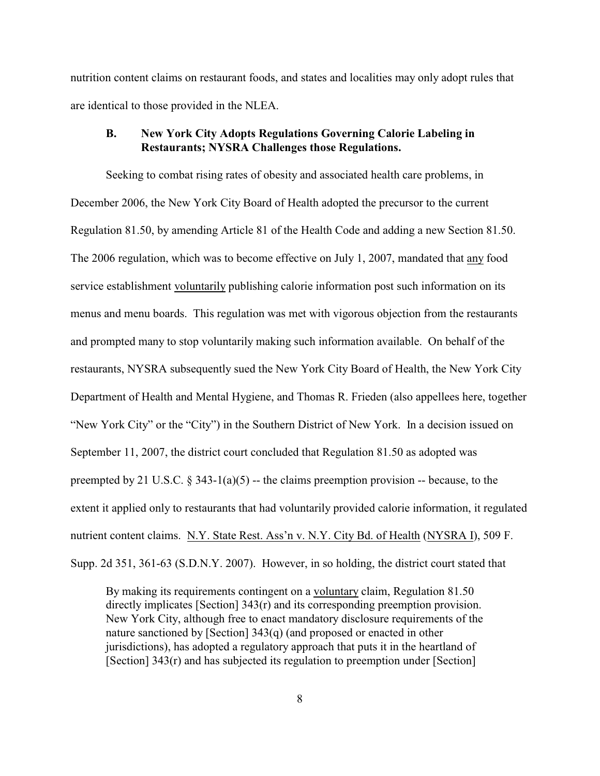nutrition content claims on restaurant foods, and states and localities may only adopt rules that are identical to those provided in the NLEA.

## **B. New York City Adopts Regulations Governing Calorie Labeling in Restaurants; NYSRA Challenges those Regulations.**

Seeking to combat rising rates of obesity and associated health care problems, in December 2006, the New York City Board of Health adopted the precursor to the current Regulation 81.50, by amending Article 81 of the Health Code and adding a new Section 81.50. The 2006 regulation, which was to become effective on July 1, 2007, mandated that any food service establishment voluntarily publishing calorie information post such information on its menus and menu boards. This regulation was met with vigorous objection from the restaurants and prompted many to stop voluntarily making such information available. On behalf of the restaurants, NYSRA subsequently sued the New York City Board of Health, the New York City Department of Health and Mental Hygiene, and Thomas R. Frieden (also appellees here, together "New York City" or the "City") in the Southern District of New York. In a decision issued on September 11, 2007, the district court concluded that Regulation 81.50 as adopted was preempted by 21 U.S.C.  $\S$  343-1(a)(5) -- the claims preemption provision -- because, to the extent it applied only to restaurants that had voluntarily provided calorie information, it regulated nutrient content claims. N.Y. State Rest. Ass'n v. N.Y. City Bd. of Health (NYSRA I), 509 F. Supp. 2d 351, 361-63 (S.D.N.Y. 2007). However, in so holding, the district court stated that

By making its requirements contingent on a voluntary claim, Regulation 81.50 directly implicates [Section] 343(r) and its corresponding preemption provision. New York City, although free to enact mandatory disclosure requirements of the nature sanctioned by [Section] 343(q) (and proposed or enacted in other jurisdictions), has adopted a regulatory approach that puts it in the heartland of [Section] 343(r) and has subjected its regulation to preemption under [Section]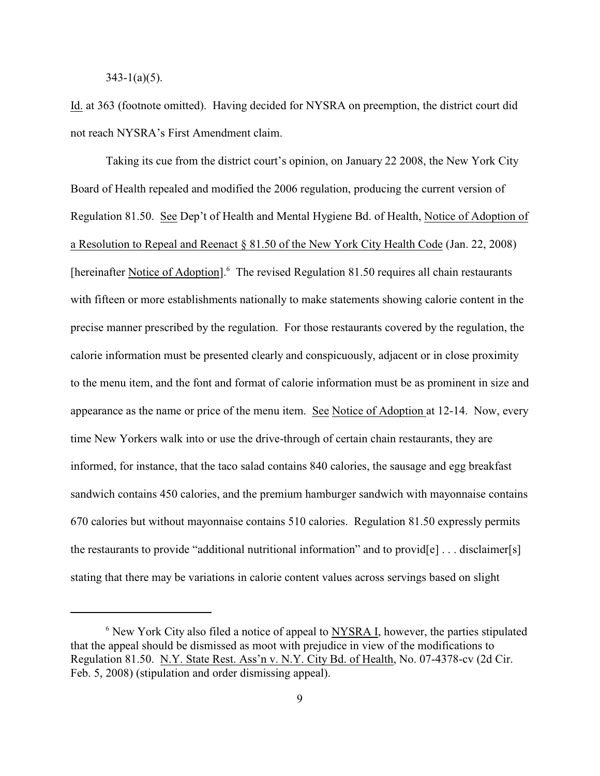$343 - 1(a)(5)$ .

Id. at 363 (footnote omitted). Having decided for NYSRA on preemption, the district court did not reach NYSRA's First Amendment claim.

Taking its cue from the district court's opinion, on January 22 2008, the New York City Board of Health repealed and modified the 2006 regulation, producing the current version of Regulation 81.50. See Dep't of Health and Mental Hygiene Bd. of Health, Notice of Adoption of a Resolution to Repeal and Reenact § 81.50 of the New York City Health Code (Jan. 22, 2008) [hereinafter Notice of Adoption]. $<sup>6</sup>$  The revised Regulation 81.50 requires all chain restaurants</sup> with fifteen or more establishments nationally to make statements showing calorie content in the precise manner prescribed by the regulation. For those restaurants covered by the regulation, the calorie information must be presented clearly and conspicuously, adjacent or in close proximity to the menu item, and the font and format of calorie information must be as prominent in size and appearance as the name or price of the menu item. See Notice of Adoption at 12-14. Now, every time New Yorkers walk into or use the drive-through of certain chain restaurants, they are informed, for instance, that the taco salad contains 840 calories, the sausage and egg breakfast sandwich contains 450 calories, and the premium hamburger sandwich with mayonnaise contains 670 calories but without mayonnaise contains 510 calories. Regulation 81.50 expressly permits the restaurants to provide "additional nutritional information" and to provid $[e] \ldots$  disclaimer $[s]$ stating that there may be variations in calorie content values across servings based on slight

 $6$  New York City also filed a notice of appeal to NYSRA I, however, the parties stipulated that the appeal should be dismissed as moot with prejudice in view of the modifications to Regulation 81.50. N.Y. State Rest. Ass'n v. N.Y. City Bd. of Health, No. 07-4378-cv (2d Cir. Feb. 5, 2008) (stipulation and order dismissing appeal).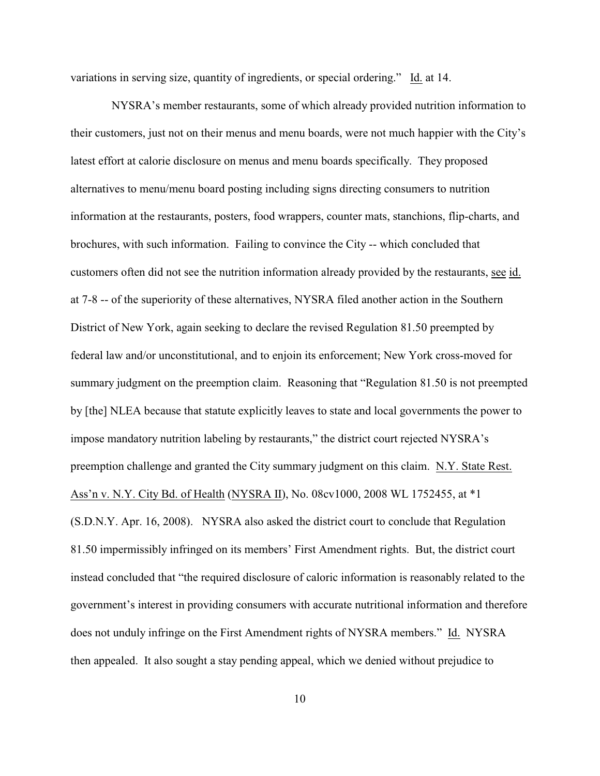variations in serving size, quantity of ingredients, or special ordering." Id. at 14.

 NYSRA's member restaurants, some of which already provided nutrition information to their customers, just not on their menus and menu boards, were not much happier with the City's latest effort at calorie disclosure on menus and menu boards specifically. They proposed alternatives to menu/menu board posting including signs directing consumers to nutrition information at the restaurants, posters, food wrappers, counter mats, stanchions, flip-charts, and brochures, with such information. Failing to convince the City -- which concluded that customers often did not see the nutrition information already provided by the restaurants, see id. at 7-8 -- of the superiority of these alternatives, NYSRA filed another action in the Southern District of New York, again seeking to declare the revised Regulation 81.50 preempted by federal law and/or unconstitutional, and to enjoin its enforcement; New York cross-moved for summary judgment on the preemption claim. Reasoning that "Regulation 81.50 is not preempted by [the] NLEA because that statute explicitly leaves to state and local governments the power to impose mandatory nutrition labeling by restaurants," the district court rejected NYSRA's preemption challenge and granted the City summary judgment on this claim. N.Y. State Rest. Ass'n v. N.Y. City Bd. of Health (NYSRA II), No. 08cv1000, 2008 WL 1752455, at \*1 (S.D.N.Y. Apr. 16, 2008). NYSRA also asked the district court to conclude that Regulation 81.50 impermissibly infringed on its members' First Amendment rights. But, the district court instead concluded that "the required disclosure of caloric information is reasonably related to the government's interest in providing consumers with accurate nutritional information and therefore does not unduly infringe on the First Amendment rights of NYSRA members." Id. NYSRA then appealed. It also sought a stay pending appeal, which we denied without prejudice to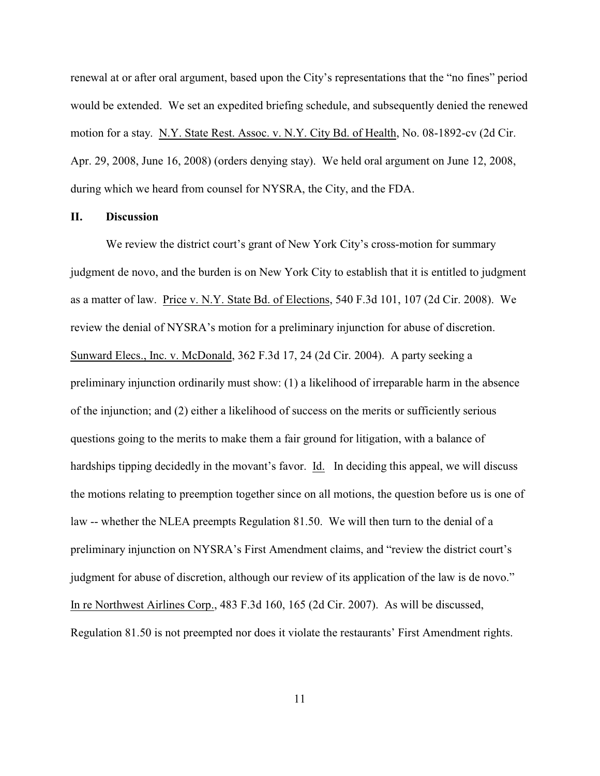renewal at or after oral argument, based upon the City's representations that the "no fines" period would be extended. We set an expedited briefing schedule, and subsequently denied the renewed motion for a stay. N.Y. State Rest. Assoc. v. N.Y. City Bd. of Health, No. 08-1892-cv (2d Cir. Apr. 29, 2008, June 16, 2008) (orders denying stay). We held oral argument on June 12, 2008, during which we heard from counsel for NYSRA, the City, and the FDA.

## **II. Discussion**

We review the district court's grant of New York City's cross-motion for summary judgment de novo, and the burden is on New York City to establish that it is entitled to judgment as a matter of law. Price v. N.Y. State Bd. of Elections, 540 F.3d 101, 107 (2d Cir. 2008). We review the denial of NYSRA's motion for a preliminary injunction for abuse of discretion. Sunward Elecs., Inc. v. McDonald, 362 F.3d 17, 24 (2d Cir. 2004). A party seeking a preliminary injunction ordinarily must show: (1) a likelihood of irreparable harm in the absence of the injunction; and (2) either a likelihood of success on the merits or sufficiently serious questions going to the merits to make them a fair ground for litigation, with a balance of hardships tipping decidedly in the movant's favor. Id. In deciding this appeal, we will discuss the motions relating to preemption together since on all motions, the question before us is one of law -- whether the NLEA preempts Regulation 81.50. We will then turn to the denial of a preliminary injunction on NYSRA's First Amendment claims, and "review the district court's judgment for abuse of discretion, although our review of its application of the law is de novo." In re Northwest Airlines Corp., 483 F.3d 160, 165 (2d Cir. 2007). As will be discussed, Regulation 81.50 is not preempted nor does it violate the restaurants' First Amendment rights.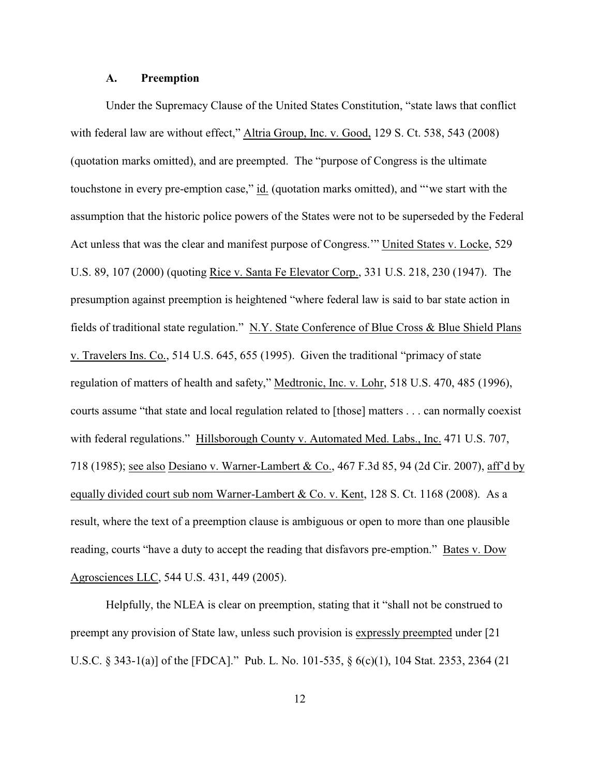### **A. Preemption**

Under the Supremacy Clause of the United States Constitution, "state laws that conflict with federal law are without effect," Altria Group, Inc. v. Good, 129 S. Ct. 538, 543 (2008) (quotation marks omitted), and are preempted. The "purpose of Congress is the ultimate touchstone in every pre-emption case," id. (quotation marks omitted), and "'we start with the assumption that the historic police powers of the States were not to be superseded by the Federal Act unless that was the clear and manifest purpose of Congress.'" United States v. Locke, 529 U.S. 89, 107 (2000) (quoting Rice v. Santa Fe Elevator Corp., 331 U.S. 218, 230 (1947). The presumption against preemption is heightened "where federal law is said to bar state action in fields of traditional state regulation." N.Y. State Conference of Blue Cross & Blue Shield Plans v. Travelers Ins. Co., 514 U.S. 645, 655 (1995). Given the traditional "primacy of state regulation of matters of health and safety," Medtronic, Inc. v. Lohr, 518 U.S. 470, 485 (1996), courts assume "that state and local regulation related to [those] matters . . . can normally coexist with federal regulations." Hillsborough County v. Automated Med. Labs., Inc. 471 U.S. 707, 718 (1985); see also Desiano v. Warner-Lambert & Co., 467 F.3d 85, 94 (2d Cir. 2007), aff'd by equally divided court sub nom Warner-Lambert & Co. v. Kent, 128 S. Ct. 1168 (2008). As a result, where the text of a preemption clause is ambiguous or open to more than one plausible reading, courts "have a duty to accept the reading that disfavors pre-emption." Bates v. Dow Agrosciences LLC, 544 U.S. 431, 449 (2005).

Helpfully, the NLEA is clear on preemption, stating that it "shall not be construed to preempt any provision of State law, unless such provision is expressly preempted under [21 U.S.C. § 343-1(a)] of the [FDCA]." Pub. L. No. 101-535, § 6(c)(1), 104 Stat. 2353, 2364 (21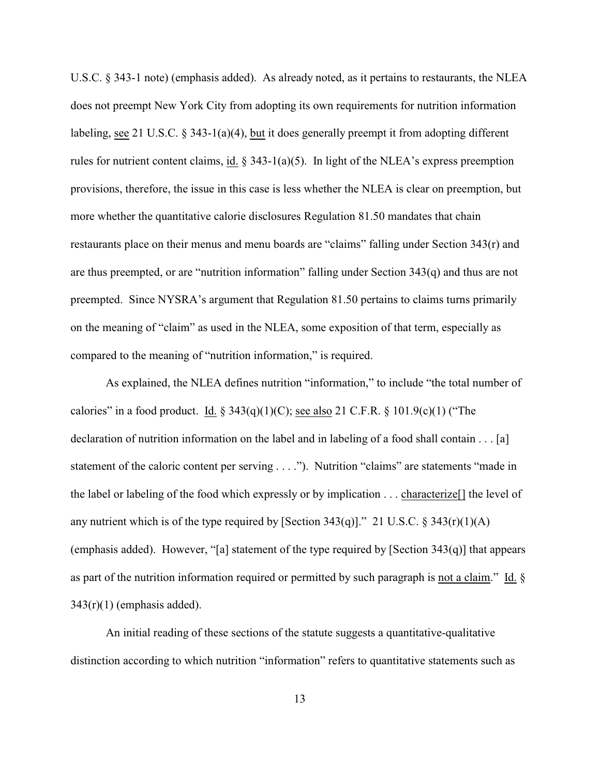U.S.C. § 343-1 note) (emphasis added). As already noted, as it pertains to restaurants, the NLEA does not preempt New York City from adopting its own requirements for nutrition information labeling, see 21 U.S.C. § 343-1(a)(4), but it does generally preempt it from adopting different rules for nutrient content claims, id.  $\S$  343-1(a)(5). In light of the NLEA's express preemption provisions, therefore, the issue in this case is less whether the NLEA is clear on preemption, but more whether the quantitative calorie disclosures Regulation 81.50 mandates that chain restaurants place on their menus and menu boards are "claims" falling under Section 343(r) and are thus preempted, or are "nutrition information" falling under Section 343(q) and thus are not preempted. Since NYSRA's argument that Regulation 81.50 pertains to claims turns primarily on the meaning of "claim" as used in the NLEA, some exposition of that term, especially as compared to the meaning of "nutrition information," is required.

As explained, the NLEA defines nutrition "information," to include "the total number of calories" in a food product. Id.  $\S$  343(q)(1)(C); see also 21 C.F.R.  $\S$  101.9(c)(1) ("The declaration of nutrition information on the label and in labeling of a food shall contain . . . [a] statement of the caloric content per serving . . . ."). Nutrition "claims" are statements "made in the label or labeling of the food which expressly or by implication . . . characterize[] the level of any nutrient which is of the type required by [Section  $343(q)$ ]." 21 U.S.C. §  $343(r)(1)(A)$ (emphasis added). However, "[a] statement of the type required by [Section 343(q)] that appears as part of the nutrition information required or permitted by such paragraph is not a claim." Id. §  $343(r)(1)$  (emphasis added).

An initial reading of these sections of the statute suggests a quantitative-qualitative distinction according to which nutrition "information" refers to quantitative statements such as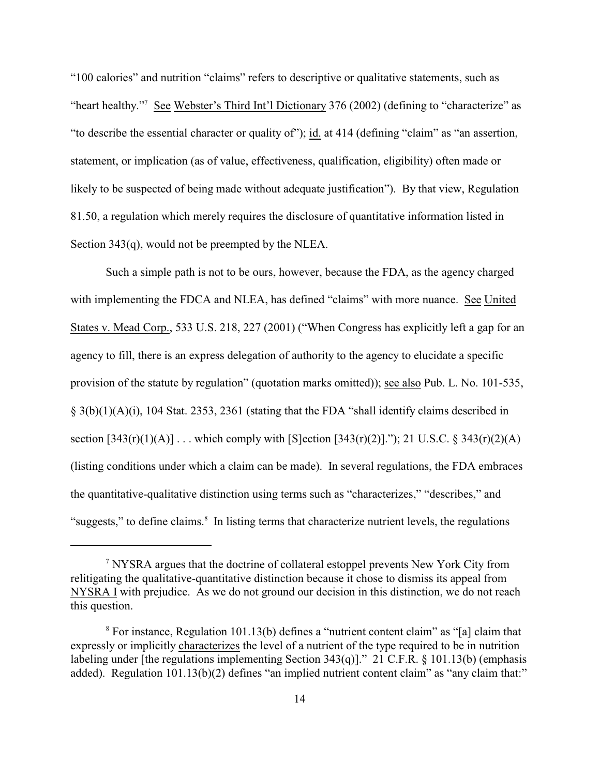"100 calories" and nutrition "claims" refers to descriptive or qualitative statements, such as "heart healthy."<sup>7</sup> See Webster's Third Int'l Dictionary 376 (2002) (defining to "characterize" as "to describe the essential character or quality of"); id. at 414 (defining "claim" as "an assertion, statement, or implication (as of value, effectiveness, qualification, eligibility) often made or likely to be suspected of being made without adequate justification"). By that view, Regulation 81.50, a regulation which merely requires the disclosure of quantitative information listed in Section 343(q), would not be preempted by the NLEA.

Such a simple path is not to be ours, however, because the FDA, as the agency charged with implementing the FDCA and NLEA, has defined "claims" with more nuance. See United States v. Mead Corp., 533 U.S. 218, 227 (2001) ("When Congress has explicitly left a gap for an agency to fill, there is an express delegation of authority to the agency to elucidate a specific provision of the statute by regulation" (quotation marks omitted)); see also Pub. L. No. 101-535, § 3(b)(1)(A)(i), 104 Stat. 2353, 2361 (stating that the FDA "shall identify claims described in section  $[343(r)(1)(A)]$ ... which comply with  $[S]$ ection  $[343(r)(2)]$ ."); 21 U.S.C. § 343(r)(2)(A) (listing conditions under which a claim can be made). In several regulations, the FDA embraces the quantitative-qualitative distinction using terms such as "characterizes," "describes," and "suggests," to define claims.<sup>8</sup> In listing terms that characterize nutrient levels, the regulations

NYSRA argues that the doctrine of collateral estoppel prevents New York City from <sup>7</sup> relitigating the qualitative-quantitative distinction because it chose to dismiss its appeal from NYSRA I with prejudice. As we do not ground our decision in this distinction, we do not reach this question.

 $8$  For instance, Regulation 101.13(b) defines a "nutrient content claim" as "[a] claim that expressly or implicitly characterizes the level of a nutrient of the type required to be in nutrition labeling under [the regulations implementing Section  $343(q)$ ]." 21 C.F.R. § 101.13(b) (emphasis added). Regulation 101.13(b)(2) defines "an implied nutrient content claim" as "any claim that:"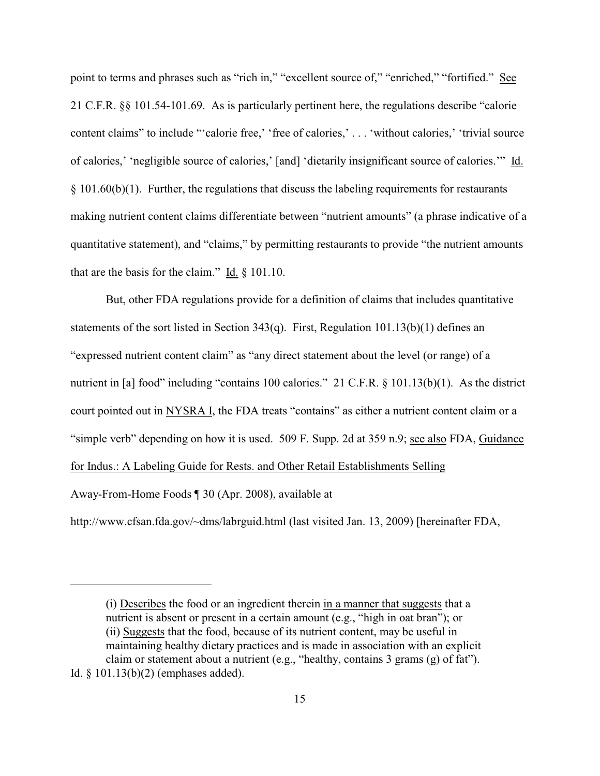point to terms and phrases such as "rich in," "excellent source of," "enriched," "fortified." See 21 C.F.R. §§ 101.54-101.69. As is particularly pertinent here, the regulations describe "calorie content claims" to include "'calorie free,' 'free of calories,' . . . 'without calories,' 'trivial source of calories,' 'negligible source of calories,' [and] 'dietarily insignificant source of calories.'" Id.  $§$  101.60(b)(1). Further, the regulations that discuss the labeling requirements for restaurants making nutrient content claims differentiate between "nutrient amounts" (a phrase indicative of a quantitative statement), and "claims," by permitting restaurants to provide "the nutrient amounts that are the basis for the claim." Id. § 101.10.

But, other FDA regulations provide for a definition of claims that includes quantitative statements of the sort listed in Section 343(q). First, Regulation 101.13(b)(1) defines an "expressed nutrient content claim" as "any direct statement about the level (or range) of a nutrient in [a] food" including "contains 100 calories." 21 C.F.R. § 101.13(b)(1). As the district court pointed out in NYSRA I, the FDA treats "contains" as either a nutrient content claim or a "simple verb" depending on how it is used. 509 F. Supp. 2d at 359 n.9; see also FDA, Guidance for Indus.: A Labeling Guide for Rests. and Other Retail Establishments Selling Away-From-Home Foods ¶ 30 (Apr. 2008), available at

http://www.cfsan.fda.gov/~dms/labrguid.html (last visited Jan. 13, 2009) [hereinafter FDA,

<sup>(</sup>i) Describes the food or an ingredient therein in a manner that suggests that a nutrient is absent or present in a certain amount (e.g., "high in oat bran"); or (ii) Suggests that the food, because of its nutrient content, may be useful in maintaining healthy dietary practices and is made in association with an explicit claim or statement about a nutrient (e.g., "healthy, contains 3 grams (g) of fat"). Id. § 101.13(b)(2) (emphases added).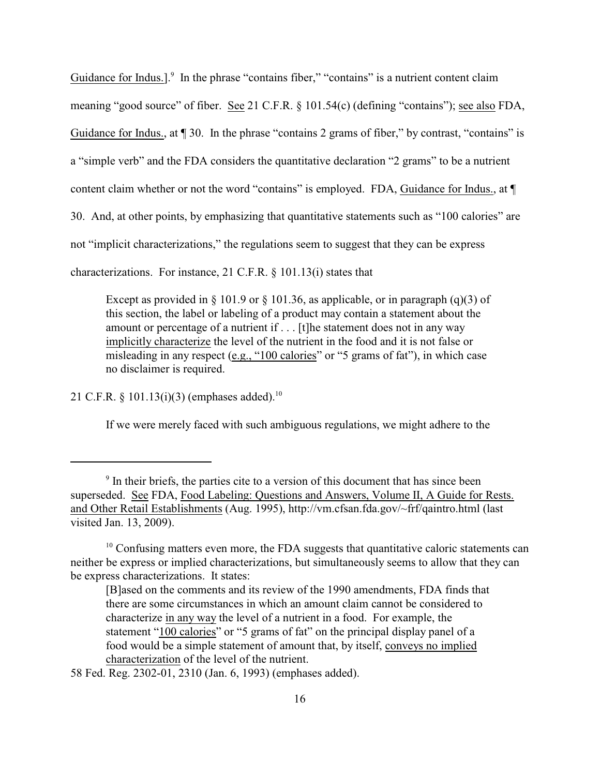Guidance for Indus.]. $\degree$  In the phrase "contains fiber," "contains" is a nutrient content claim meaning "good source" of fiber. See 21 C.F.R. § 101.54(c) (defining "contains"); see also FDA, Guidance for Indus., at  $\P$  30. In the phrase "contains 2 grams of fiber," by contrast, "contains" is a "simple verb" and the FDA considers the quantitative declaration "2 grams" to be a nutrient content claim whether or not the word "contains" is employed. FDA, Guidance for Indus., at  $\P$ 30. And, at other points, by emphasizing that quantitative statements such as "100 calories" are not "implicit characterizations," the regulations seem to suggest that they can be express characterizations. For instance, 21 C.F.R. § 101.13(i) states that

Except as provided in  $\S 101.9$  or  $\S 101.36$ , as applicable, or in paragraph (q)(3) of this section, the label or labeling of a product may contain a statement about the amount or percentage of a nutrient if . . . [t]he statement does not in any way implicitly characterize the level of the nutrient in the food and it is not false or misleading in any respect (e.g., "100 calories" or "5 grams of fat"), in which case no disclaimer is required.

21 C.F.R.  $\frac{$101.13(i)(3)$  (emphases added).<sup>10</sup>

If we were merely faced with such ambiguous regulations, we might adhere to the

58 Fed. Reg. 2302-01, 2310 (Jan. 6, 1993) (emphases added).

<sup>&</sup>lt;sup>9</sup> In their briefs, the parties cite to a version of this document that has since been superseded. See FDA, Food Labeling: Questions and Answers, Volume II, A Guide for Rests. and Other Retail Establishments (Aug. 1995), http://vm.cfsan.fda.gov/~frf/qaintro.html (last visited Jan. 13, 2009).

 $10$  Confusing matters even more, the FDA suggests that quantitative caloric statements can neither be express or implied characterizations, but simultaneously seems to allow that they can be express characterizations. It states:

<sup>[</sup>B]ased on the comments and its review of the 1990 amendments, FDA finds that there are some circumstances in which an amount claim cannot be considered to characterize in any way the level of a nutrient in a food. For example, the statement "100 calories" or "5 grams of fat" on the principal display panel of a food would be a simple statement of amount that, by itself, conveys no implied characterization of the level of the nutrient.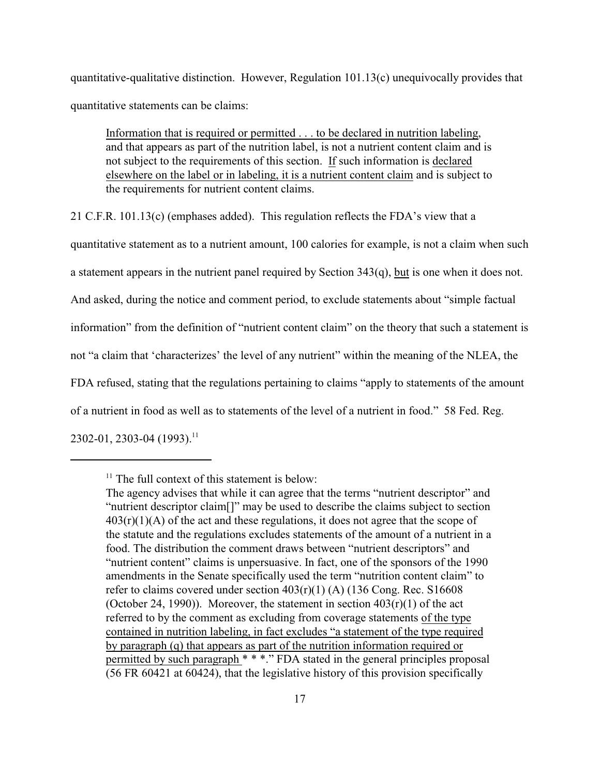quantitative-qualitative distinction. However, Regulation 101.13(c) unequivocally provides that quantitative statements can be claims:

Information that is required or permitted . . . to be declared in nutrition labeling, and that appears as part of the nutrition label, is not a nutrient content claim and is not subject to the requirements of this section. If such information is declared elsewhere on the label or in labeling, it is a nutrient content claim and is subject to the requirements for nutrient content claims.

21 C.F.R. 101.13(c) (emphases added). This regulation reflects the FDA's view that a

quantitative statement as to a nutrient amount, 100 calories for example, is not a claim when such

a statement appears in the nutrient panel required by Section 343(q), but is one when it does not.

And asked, during the notice and comment period, to exclude statements about "simple factual

information" from the definition of "nutrient content claim" on the theory that such a statement is

not "a claim that 'characterizes' the level of any nutrient" within the meaning of the NLEA, the

FDA refused, stating that the regulations pertaining to claims "apply to statements of the amount

of a nutrient in food as well as to statements of the level of a nutrient in food." 58 Fed. Reg.

 $2302-01, 2303-04$  (1993).<sup>11</sup>

 $<sup>11</sup>$  The full context of this statement is below:</sup>

The agency advises that while it can agree that the terms "nutrient descriptor" and "nutrient descriptor claim[]" may be used to describe the claims subject to section  $403(r)(1)(A)$  of the act and these regulations, it does not agree that the scope of the statute and the regulations excludes statements of the amount of a nutrient in a food. The distribution the comment draws between "nutrient descriptors" and "nutrient content" claims is unpersuasive. In fact, one of the sponsors of the 1990 amendments in the Senate specifically used the term "nutrition content claim" to refer to claims covered under section  $403(r)(1)$  (A) (136 Cong. Rec. S16608 (October 24, 1990)). Moreover, the statement in section  $403(r)(1)$  of the act referred to by the comment as excluding from coverage statements of the type contained in nutrition labeling, in fact excludes "a statement of the type required by paragraph (q) that appears as part of the nutrition information required or permitted by such paragraph \* \* \*." FDA stated in the general principles proposal (56 FR 60421 at 60424), that the legislative history of this provision specifically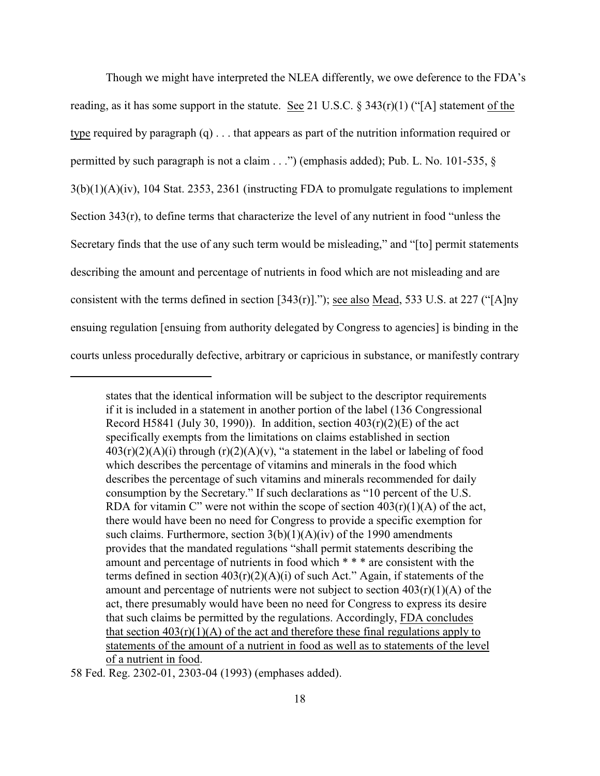Though we might have interpreted the NLEA differently, we owe deference to the FDA's reading, as it has some support in the statute. See 21 U.S.C. § 343(r)(1) ("[A] statement of the type required by paragraph (q) . . . that appears as part of the nutrition information required or permitted by such paragraph is not a claim . . .") (emphasis added); Pub. L. No. 101-535, § 3(b)(1)(A)(iv), 104 Stat. 2353, 2361 (instructing FDA to promulgate regulations to implement Section 343(r), to define terms that characterize the level of any nutrient in food "unless the Secretary finds that the use of any such term would be misleading," and "[to] permit statements describing the amount and percentage of nutrients in food which are not misleading and are consistent with the terms defined in section [343(r)]."); see also Mead, 533 U.S. at 227 ("[A]ny ensuing regulation [ensuing from authority delegated by Congress to agencies] is binding in the courts unless procedurally defective, arbitrary or capricious in substance, or manifestly contrary

states that the identical information will be subject to the descriptor requirements if it is included in a statement in another portion of the label (136 Congressional Record H5841 (July 30, 1990)). In addition, section  $403(r)(2)(E)$  of the act specifically exempts from the limitations on claims established in section  $403(r)(2)(A)(i)$  through  $(r)(2)(A)(v)$ , "a statement in the label or labeling of food which describes the percentage of vitamins and minerals in the food which describes the percentage of such vitamins and minerals recommended for daily consumption by the Secretary." If such declarations as "10 percent of the U.S. RDA for vitamin C" were not within the scope of section  $403(r)(1)(A)$  of the act, there would have been no need for Congress to provide a specific exemption for such claims. Furthermore, section  $3(b)(1)(A)(iv)$  of the 1990 amendments provides that the mandated regulations "shall permit statements describing the amount and percentage of nutrients in food which \* \* \* are consistent with the terms defined in section  $403(r)(2)(A)(i)$  of such Act." Again, if statements of the amount and percentage of nutrients were not subject to section  $403(r)(1)(A)$  of the act, there presumably would have been no need for Congress to express its desire that such claims be permitted by the regulations. Accordingly, FDA concludes that section  $403(r)(1)(A)$  of the act and therefore these final regulations apply to statements of the amount of a nutrient in food as well as to statements of the level of a nutrient in food.

<sup>58</sup> Fed. Reg. 2302-01, 2303-04 (1993) (emphases added).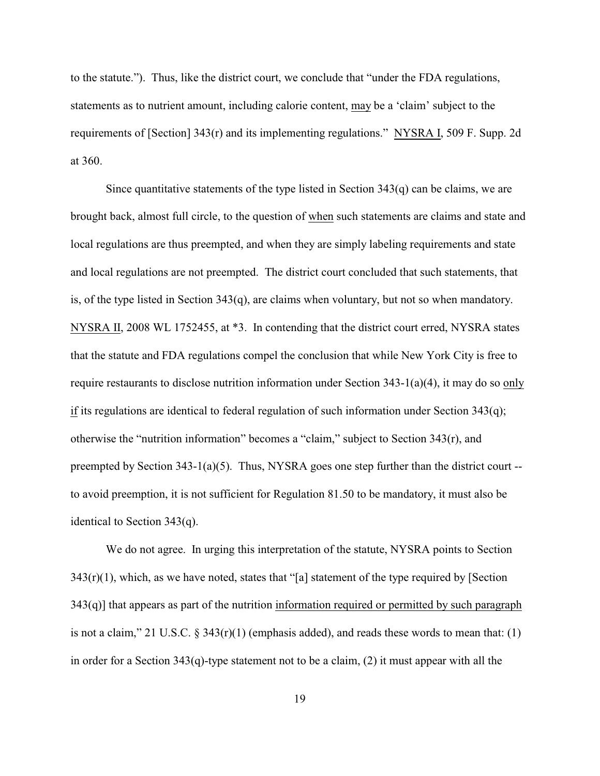to the statute."). Thus, like the district court, we conclude that "under the FDA regulations, statements as to nutrient amount, including calorie content, may be a 'claim' subject to the requirements of [Section] 343(r) and its implementing regulations." NYSRA I, 509 F. Supp. 2d at 360.

Since quantitative statements of the type listed in Section  $343(q)$  can be claims, we are brought back, almost full circle, to the question of when such statements are claims and state and local regulations are thus preempted, and when they are simply labeling requirements and state and local regulations are not preempted. The district court concluded that such statements, that is, of the type listed in Section  $343(q)$ , are claims when voluntary, but not so when mandatory. NYSRA II, 2008 WL 1752455, at \*3. In contending that the district court erred, NYSRA states that the statute and FDA regulations compel the conclusion that while New York City is free to require restaurants to disclose nutrition information under Section 343-1(a)(4), it may do so only if its regulations are identical to federal regulation of such information under Section  $343(q)$ ; otherwise the "nutrition information" becomes a "claim," subject to Section  $343(r)$ , and preempted by Section  $343-1(a)(5)$ . Thus, NYSRA goes one step further than the district court -to avoid preemption, it is not sufficient for Regulation 81.50 to be mandatory, it must also be identical to Section 343(q).

We do not agree. In urging this interpretation of the statute, NYSRA points to Section  $343(r)(1)$ , which, as we have noted, states that "[a] statement of the type required by [Section  $343(q)$ ] that appears as part of the nutrition information required or permitted by such paragraph is not a claim," 21 U.S.C.  $\S$  343(r)(1) (emphasis added), and reads these words to mean that: (1) in order for a Section 343(q)-type statement not to be a claim, (2) it must appear with all the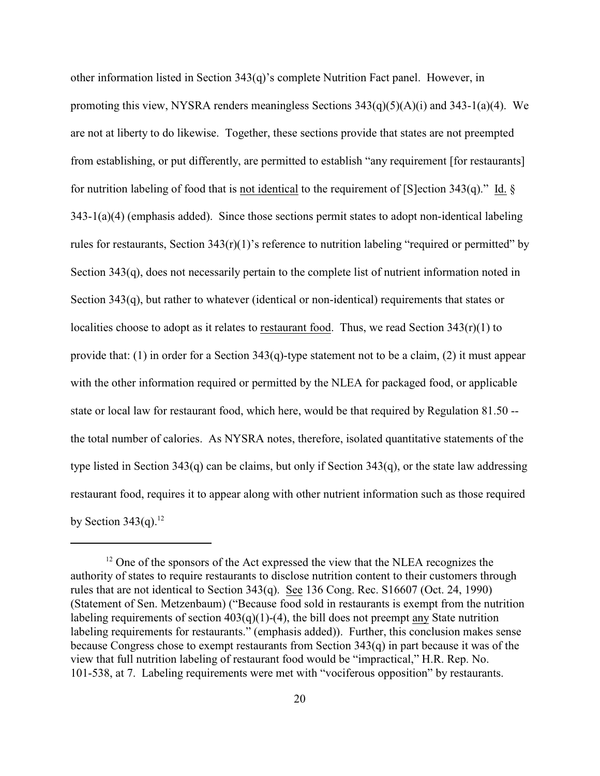other information listed in Section 343(q)'s complete Nutrition Fact panel. However, in promoting this view, NYSRA renders meaningless Sections  $343(q)(5)(A)(i)$  and  $343-1(a)(4)$ . We are not at liberty to do likewise. Together, these sections provide that states are not preempted from establishing, or put differently, are permitted to establish "any requirement [for restaurants] for nutrition labeling of food that is not identical to the requirement of [S]ection  $343(q)$ ." Id. § 343-1(a)(4) (emphasis added). Since those sections permit states to adopt non-identical labeling rules for restaurants, Section 343(r)(1)'s reference to nutrition labeling "required or permitted" by Section 343(q), does not necessarily pertain to the complete list of nutrient information noted in Section 343(q), but rather to whatever (identical or non-identical) requirements that states or localities choose to adopt as it relates to restaurant food. Thus, we read Section 343(r)(1) to provide that: (1) in order for a Section 343(q)-type statement not to be a claim, (2) it must appear with the other information required or permitted by the NLEA for packaged food, or applicable state or local law for restaurant food, which here, would be that required by Regulation 81.50 - the total number of calories. As NYSRA notes, therefore, isolated quantitative statements of the type listed in Section 343(q) can be claims, but only if Section 343(q), or the state law addressing restaurant food, requires it to appear along with other nutrient information such as those required by Section  $343(q)$ .<sup>12</sup>

 $12$  One of the sponsors of the Act expressed the view that the NLEA recognizes the authority of states to require restaurants to disclose nutrition content to their customers through rules that are not identical to Section 343(q). See 136 Cong. Rec. S16607 (Oct. 24, 1990) (Statement of Sen. Metzenbaum) ("Because food sold in restaurants is exempt from the nutrition labeling requirements of section  $403(q)(1)-(4)$ , the bill does not preempt <u>any</u> State nutrition labeling requirements for restaurants." (emphasis added)). Further, this conclusion makes sense because Congress chose to exempt restaurants from Section 343(q) in part because it was of the view that full nutrition labeling of restaurant food would be "impractical," H.R. Rep. No. 101-538, at 7. Labeling requirements were met with "vociferous opposition" by restaurants.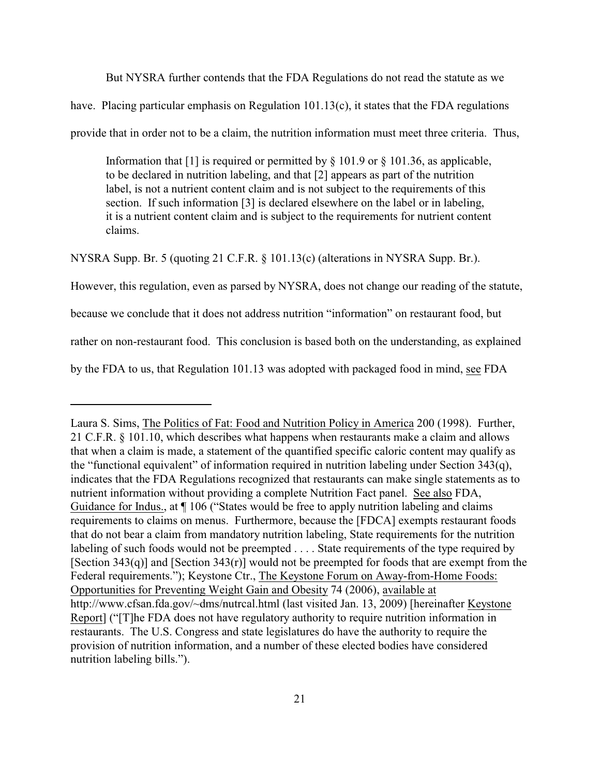But NYSRA further contends that the FDA Regulations do not read the statute as we

have. Placing particular emphasis on Regulation 101.13(c), it states that the FDA regulations

provide that in order not to be a claim, the nutrition information must meet three criteria. Thus,

Information that [1] is required or permitted by § 101.9 or § 101.36, as applicable, to be declared in nutrition labeling, and that [2] appears as part of the nutrition label, is not a nutrient content claim and is not subject to the requirements of this section. If such information [3] is declared elsewhere on the label or in labeling, it is a nutrient content claim and is subject to the requirements for nutrient content claims.

NYSRA Supp. Br. 5 (quoting 21 C.F.R. § 101.13(c) (alterations in NYSRA Supp. Br.).

However, this regulation, even as parsed by NYSRA, does not change our reading of the statute,

because we conclude that it does not address nutrition "information" on restaurant food, but

rather on non-restaurant food. This conclusion is based both on the understanding, as explained

by the FDA to us, that Regulation 101.13 was adopted with packaged food in mind, see FDA

Laura S. Sims, The Politics of Fat: Food and Nutrition Policy in America 200 (1998). Further, 21 C.F.R. § 101.10, which describes what happens when restaurants make a claim and allows that when a claim is made, a statement of the quantified specific caloric content may qualify as the "functional equivalent" of information required in nutrition labeling under Section 343(q), indicates that the FDA Regulations recognized that restaurants can make single statements as to nutrient information without providing a complete Nutrition Fact panel. See also FDA, Guidance for Indus., at ¶ 106 ("States would be free to apply nutrition labeling and claims requirements to claims on menus. Furthermore, because the [FDCA] exempts restaurant foods that do not bear a claim from mandatory nutrition labeling, State requirements for the nutrition labeling of such foods would not be preempted . . . . State requirements of the type required by [Section 343(q)] and [Section 343(r)] would not be preempted for foods that are exempt from the Federal requirements."); Keystone Ctr., The Keystone Forum on Away-from-Home Foods: Opportunities for Preventing Weight Gain and Obesity 74 (2006), available at http://www.cfsan.fda.gov/~dms/nutrcal.html (last visited Jan. 13, 2009) [hereinafter Keystone Report] ("[T]he FDA does not have regulatory authority to require nutrition information in restaurants. The U.S. Congress and state legislatures do have the authority to require the provision of nutrition information, and a number of these elected bodies have considered nutrition labeling bills.").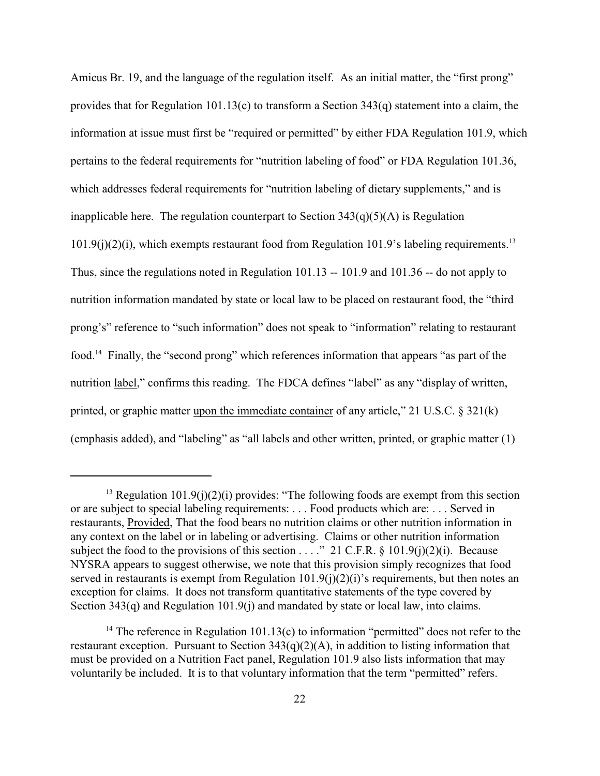Amicus Br. 19, and the language of the regulation itself. As an initial matter, the "first prong" provides that for Regulation 101.13(c) to transform a Section 343(q) statement into a claim, the information at issue must first be "required or permitted" by either FDA Regulation 101.9, which pertains to the federal requirements for "nutrition labeling of food" or FDA Regulation 101.36, which addresses federal requirements for "nutrition labeling of dietary supplements," and is inapplicable here. The regulation counterpart to Section  $343(q)(5)(A)$  is Regulation  $101.9(j)(2)(i)$ , which exempts restaurant food from Regulation 101.9's labeling requirements.<sup>13</sup> Thus, since the regulations noted in Regulation 101.13 -- 101.9 and 101.36 -- do not apply to nutrition information mandated by state or local law to be placed on restaurant food, the "third prong's" reference to "such information" does not speak to "information" relating to restaurant food.<sup>14</sup> Finally, the "second prong" which references information that appears "as part of the nutrition label," confirms this reading. The FDCA defines "label" as any "display of written, printed, or graphic matter upon the immediate container of any article," 21 U.S.C. § 321(k) (emphasis added), and "labeling" as "all labels and other written, printed, or graphic matter (1)

<sup>&</sup>lt;sup>13</sup> Regulation 101.9(j)(2)(i) provides: "The following foods are exempt from this section or are subject to special labeling requirements: . . . Food products which are: . . . Served in restaurants, Provided, That the food bears no nutrition claims or other nutrition information in any context on the label or in labeling or advertising. Claims or other nutrition information subject the food to the provisions of this section . . . ." 21 C.F.R. § 101.9(j)(2)(j). Because NYSRA appears to suggest otherwise, we note that this provision simply recognizes that food served in restaurants is exempt from Regulation  $101.9(i)(2)(i)$ 's requirements, but then notes an exception for claims. It does not transform quantitative statements of the type covered by Section 343(q) and Regulation 101.9(j) and mandated by state or local law, into claims.

<sup>&</sup>lt;sup>14</sup> The reference in Regulation 101.13(c) to information "permitted" does not refer to the restaurant exception. Pursuant to Section  $343(q)(2)(A)$ , in addition to listing information that must be provided on a Nutrition Fact panel, Regulation 101.9 also lists information that may voluntarily be included. It is to that voluntary information that the term "permitted" refers.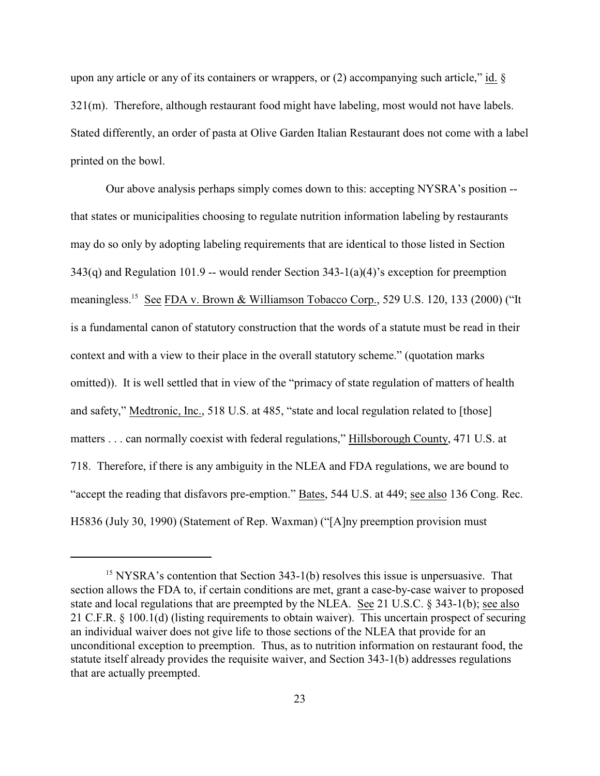upon any article or any of its containers or wrappers, or  $(2)$  accompanying such article," id. § 321(m). Therefore, although restaurant food might have labeling, most would not have labels. Stated differently, an order of pasta at Olive Garden Italian Restaurant does not come with a label printed on the bowl.

Our above analysis perhaps simply comes down to this: accepting NYSRA's position - that states or municipalities choosing to regulate nutrition information labeling by restaurants may do so only by adopting labeling requirements that are identical to those listed in Section  $343(q)$  and Regulation 101.9 -- would render Section  $343-1(a)(4)$ 's exception for preemption meaningless.<sup>15</sup> See FDA v. Brown & Williamson Tobacco Corp., 529 U.S. 120, 133 (2000) ("It is a fundamental canon of statutory construction that the words of a statute must be read in their context and with a view to their place in the overall statutory scheme." (quotation marks omitted)). It is well settled that in view of the "primacy of state regulation of matters of health and safety," Medtronic, Inc., 518 U.S. at 485, "state and local regulation related to [those] matters . . . can normally coexist with federal regulations," Hillsborough County, 471 U.S. at 718. Therefore, if there is any ambiguity in the NLEA and FDA regulations, we are bound to "accept the reading that disfavors pre-emption." Bates, 544 U.S. at 449; see also 136 Cong. Rec. H5836 (July 30, 1990) (Statement of Rep. Waxman) ("[A]ny preemption provision must

 $15$  NYSRA's contention that Section 343-1(b) resolves this issue is unpersuasive. That section allows the FDA to, if certain conditions are met, grant a case-by-case waiver to proposed state and local regulations that are preempted by the NLEA. See 21 U.S.C. § 343-1(b); see also 21 C.F.R. § 100.1(d) (listing requirements to obtain waiver). This uncertain prospect of securing an individual waiver does not give life to those sections of the NLEA that provide for an unconditional exception to preemption. Thus, as to nutrition information on restaurant food, the statute itself already provides the requisite waiver, and Section 343-1(b) addresses regulations that are actually preempted.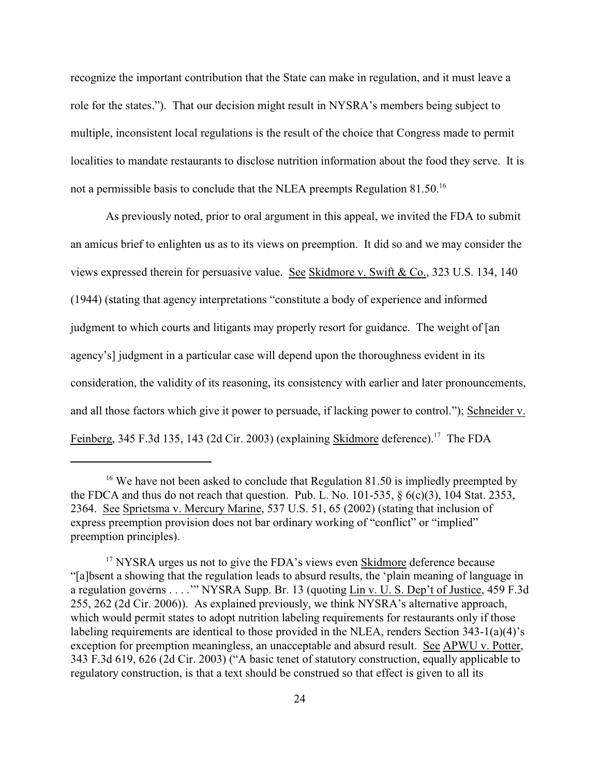recognize the important contribution that the State can make in regulation, and it must leave a role for the states."). That our decision might result in NYSRA's members being subject to multiple, inconsistent local regulations is the result of the choice that Congress made to permit localities to mandate restaurants to disclose nutrition information about the food they serve. It is not a permissible basis to conclude that the NLEA preempts Regulation 81.50.<sup>16</sup>

As previously noted, prior to oral argument in this appeal, we invited the FDA to submit an amicus brief to enlighten us as to its views on preemption. It did so and we may consider the views expressed therein for persuasive value. See Skidmore v. Swift & Co., 323 U.S. 134, 140 (1944) (stating that agency interpretations "constitute a body of experience and informed judgment to which courts and litigants may properly resort for guidance. The weight of [an agency's] judgment in a particular case will depend upon the thoroughness evident in its consideration, the validity of its reasoning, its consistency with earlier and later pronouncements, and all those factors which give it power to persuade, if lacking power to control."); Schneider v. Feinberg, 345 F.3d 135, 143 (2d Cir. 2003) (explaining Skidmore deference).<sup>17</sup> The FDA

<sup>&</sup>lt;sup>16</sup> We have not been asked to conclude that Regulation 81.50 is impliedly preempted by the FDCA and thus do not reach that question. Pub. L. No. 101-535,  $\S$  6(c)(3), 104 Stat. 2353, 2364. See Sprietsma v. Mercury Marine, 537 U.S. 51, 65 (2002) (stating that inclusion of express preemption provision does not bar ordinary working of "conflict" or "implied" preemption principles).

<sup>&</sup>lt;sup>17</sup> NYSRA urges us not to give the FDA's views even **Skidmore** deference because "[a]bsent a showing that the regulation leads to absurd results, the 'plain meaning of language in a regulation governs . . . .'" NYSRA Supp. Br. 13 (quoting Lin v. U. S. Dep't of Justice, 459 F.3d 255, 262 (2d Cir. 2006)). As explained previously, we think NYSRA's alternative approach, which would permit states to adopt nutrition labeling requirements for restaurants only if those labeling requirements are identical to those provided in the NLEA, renders Section 343-1(a)(4)'s exception for preemption meaningless, an unacceptable and absurd result. See APWU v. Potter, 343 F.3d 619, 626 (2d Cir. 2003) ("A basic tenet of statutory construction, equally applicable to regulatory construction, is that a text should be construed so that effect is given to all its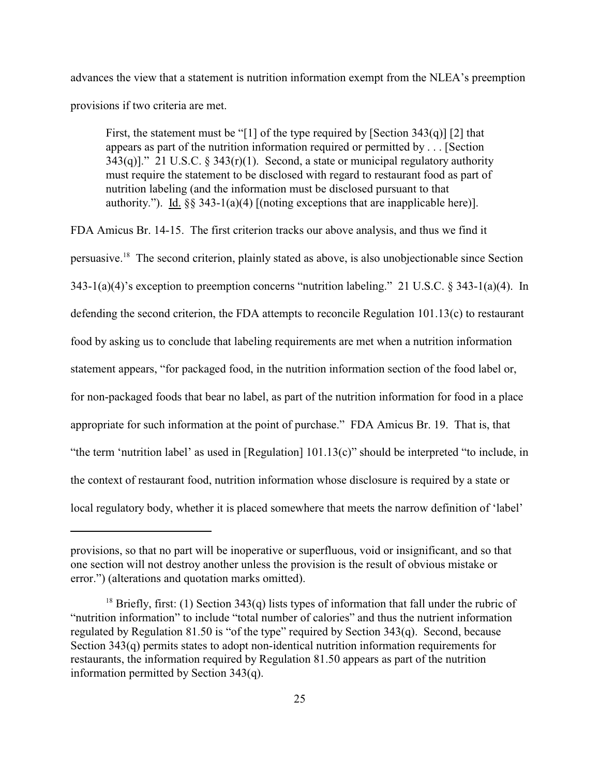advances the view that a statement is nutrition information exempt from the NLEA's preemption provisions if two criteria are met.

First, the statement must be "[1] of the type required by [Section  $343(q)$ ] [2] that appears as part of the nutrition information required or permitted by . . . [Section  $343(q)$ ]." 21 U.S.C. §  $343(r)(1)$ . Second, a state or municipal regulatory authority must require the statement to be disclosed with regard to restaurant food as part of nutrition labeling (and the information must be disclosed pursuant to that authority."). Id. §§ 343-1(a)(4) [(noting exceptions that are inapplicable here)].

FDA Amicus Br. 14-15. The first criterion tracks our above analysis, and thus we find it persuasive.<sup>18</sup> The second criterion, plainly stated as above, is also unobjectionable since Section 343-1(a)(4)'s exception to preemption concerns "nutrition labeling." 21 U.S.C. § 343-1(a)(4). In defending the second criterion, the FDA attempts to reconcile Regulation 101.13(c) to restaurant food by asking us to conclude that labeling requirements are met when a nutrition information statement appears, "for packaged food, in the nutrition information section of the food label or, for non-packaged foods that bear no label, as part of the nutrition information for food in a place appropriate for such information at the point of purchase." FDA Amicus Br. 19. That is, that "the term 'nutrition label' as used in [Regulation] 101.13(c)" should be interpreted "to include, in the context of restaurant food, nutrition information whose disclosure is required by a state or local regulatory body, whether it is placed somewhere that meets the narrow definition of 'label'

provisions, so that no part will be inoperative or superfluous, void or insignificant, and so that one section will not destroy another unless the provision is the result of obvious mistake or error.") (alterations and quotation marks omitted).

<sup>&</sup>lt;sup>18</sup> Briefly, first: (1) Section 343(q) lists types of information that fall under the rubric of "nutrition information" to include "total number of calories" and thus the nutrient information regulated by Regulation 81.50 is "of the type" required by Section 343(q). Second, because Section 343(q) permits states to adopt non-identical nutrition information requirements for restaurants, the information required by Regulation 81.50 appears as part of the nutrition information permitted by Section 343(q).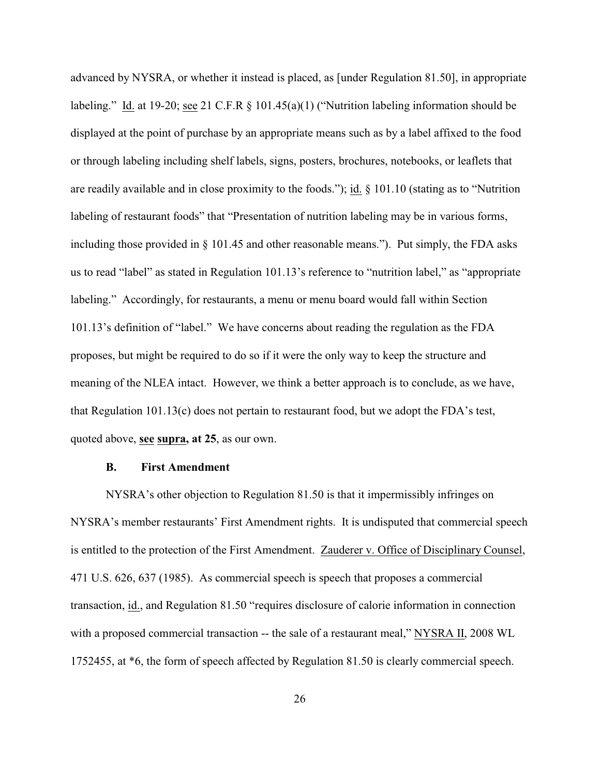advanced by NYSRA, or whether it instead is placed, as [under Regulation 81.50], in appropriate labeling." Id. at 19-20; see 21 C.F.R  $\S$  101.45(a)(1) ("Nutrition labeling information should be displayed at the point of purchase by an appropriate means such as by a label affixed to the food or through labeling including shelf labels, signs, posters, brochures, notebooks, or leaflets that are readily available and in close proximity to the foods."); id. § 101.10 (stating as to "Nutrition labeling of restaurant foods" that "Presentation of nutrition labeling may be in various forms, including those provided in § 101.45 and other reasonable means."). Put simply, the FDA asks us to read "label" as stated in Regulation 101.13's reference to "nutrition label," as "appropriate labeling." Accordingly, for restaurants, a menu or menu board would fall within Section 101.13's definition of "label." We have concerns about reading the regulation as the FDA proposes, but might be required to do so if it were the only way to keep the structure and meaning of the NLEA intact. However, we think a better approach is to conclude, as we have, that Regulation 101.13(c) does not pertain to restaurant food, but we adopt the FDA's test, quoted above, **see supra, at 25**, as our own.

### **B. First Amendment**

NYSRA's other objection to Regulation 81.50 is that it impermissibly infringes on NYSRA's member restaurants' First Amendment rights. It is undisputed that commercial speech is entitled to the protection of the First Amendment. Zauderer v. Office of Disciplinary Counsel, 471 U.S. 626, 637 (1985). As commercial speech is speech that proposes a commercial transaction, id., and Regulation 81.50 "requires disclosure of calorie information in connection with a proposed commercial transaction -- the sale of a restaurant meal," NYSRA II, 2008 WL 1752455, at \*6, the form of speech affected by Regulation 81.50 is clearly commercial speech.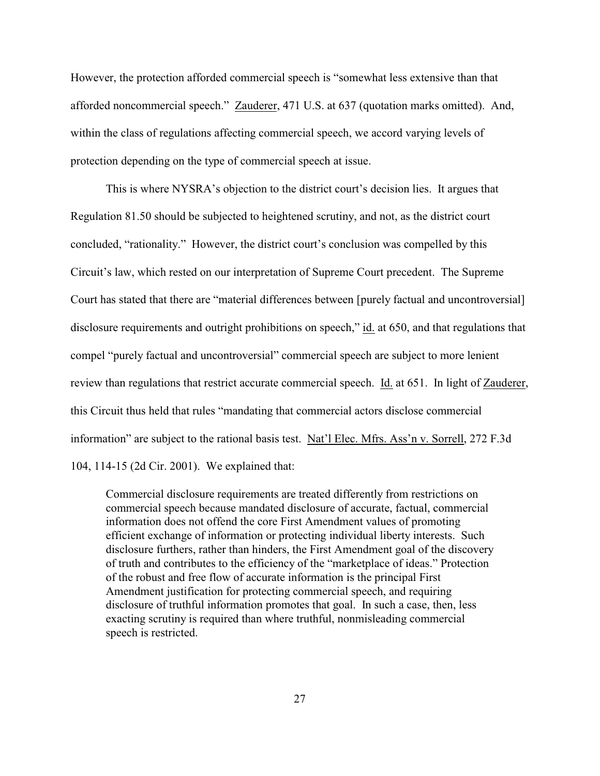However, the protection afforded commercial speech is "somewhat less extensive than that afforded noncommercial speech." Zauderer, 471 U.S. at 637 (quotation marks omitted). And, within the class of regulations affecting commercial speech, we accord varying levels of protection depending on the type of commercial speech at issue.

This is where NYSRA's objection to the district court's decision lies. It argues that Regulation 81.50 should be subjected to heightened scrutiny, and not, as the district court concluded, "rationality." However, the district court's conclusion was compelled by this Circuit's law, which rested on our interpretation of Supreme Court precedent. The Supreme Court has stated that there are "material differences between [purely factual and uncontroversial] disclosure requirements and outright prohibitions on speech," id. at 650, and that regulations that compel "purely factual and uncontroversial" commercial speech are subject to more lenient review than regulations that restrict accurate commercial speech. Id. at 651. In light of Zauderer, this Circuit thus held that rules "mandating that commercial actors disclose commercial information" are subject to the rational basis test. Nat'l Elec. Mfrs. Ass'n v. Sorrell, 272 F.3d 104, 114-15 (2d Cir. 2001). We explained that:

Commercial disclosure requirements are treated differently from restrictions on commercial speech because mandated disclosure of accurate, factual, commercial information does not offend the core First Amendment values of promoting efficient exchange of information or protecting individual liberty interests. Such disclosure furthers, rather than hinders, the First Amendment goal of the discovery of truth and contributes to the efficiency of the "marketplace of ideas." Protection of the robust and free flow of accurate information is the principal First Amendment justification for protecting commercial speech, and requiring disclosure of truthful information promotes that goal. In such a case, then, less exacting scrutiny is required than where truthful, nonmisleading commercial speech is restricted.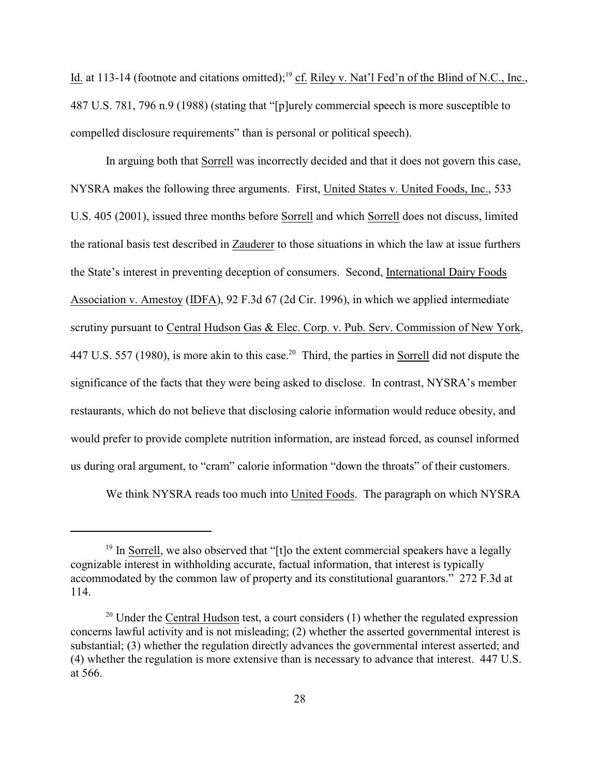Id. at 113-14 (footnote and citations omitted);<sup>19</sup> cf. Riley v. Nat'l Fed'n of the Blind of N.C., Inc., 487 U.S. 781, 796 n.9 (1988) (stating that "[p]urely commercial speech is more susceptible to compelled disclosure requirements" than is personal or political speech).

In arguing both that Sorrell was incorrectly decided and that it does not govern this case, NYSRA makes the following three arguments. First, United States v. United Foods, Inc., 533 U.S. 405 (2001), issued three months before Sorrell and which Sorrell does not discuss, limited the rational basis test described in Zauderer to those situations in which the law at issue furthers the State's interest in preventing deception of consumers. Second, International Dairy Foods Association v. Amestoy (IDFA), 92 F.3d 67 (2d Cir. 1996), in which we applied intermediate scrutiny pursuant to Central Hudson Gas & Elec. Corp. v. Pub. Serv. Commission of New York, 447 U.S. 557 (1980), is more akin to this case.<sup>20</sup> Third, the parties in Sorrell did not dispute the significance of the facts that they were being asked to disclose. In contrast, NYSRA's member restaurants, which do not believe that disclosing calorie information would reduce obesity, and would prefer to provide complete nutrition information, are instead forced, as counsel informed us during oral argument, to "cram" calorie information "down the throats" of their customers.

We think NYSRA reads too much into United Foods. The paragraph on which NYSRA

 $19$  In Sorrell, we also observed that "[t]o the extent commercial speakers have a legally cognizable interest in withholding accurate, factual information, that interest is typically accommodated by the common law of property and its constitutional guarantors." 272 F.3d at 114.

 $20$  Under the Central Hudson test, a court considers (1) whether the regulated expression concerns lawful activity and is not misleading; (2) whether the asserted governmental interest is substantial; (3) whether the regulation directly advances the governmental interest asserted; and (4) whether the regulation is more extensive than is necessary to advance that interest. 447 U.S. at 566.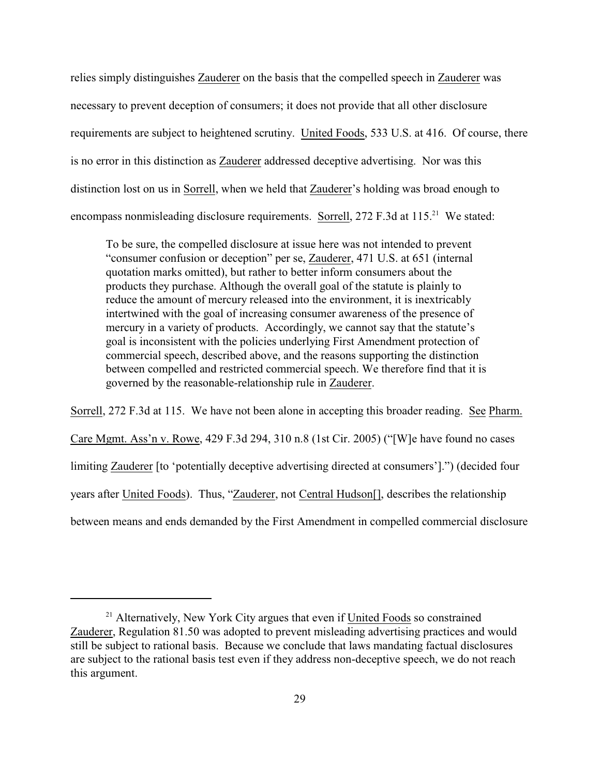relies simply distinguishes Zauderer on the basis that the compelled speech in Zauderer was necessary to prevent deception of consumers; it does not provide that all other disclosure requirements are subject to heightened scrutiny. United Foods, 533 U.S. at 416. Of course, there is no error in this distinction as Zauderer addressed deceptive advertising. Nor was this distinction lost on us in Sorrell, when we held that Zauderer's holding was broad enough to encompass nonmisleading disclosure requirements. Sorrell, 272 F.3d at 115.<sup>21</sup> We stated:

To be sure, the compelled disclosure at issue here was not intended to prevent "consumer confusion or deception" per se, Zauderer, 471 U.S. at 651 (internal quotation marks omitted), but rather to better inform consumers about the products they purchase. Although the overall goal of the statute is plainly to reduce the amount of mercury released into the environment, it is inextricably intertwined with the goal of increasing consumer awareness of the presence of mercury in a variety of products. Accordingly, we cannot say that the statute's goal is inconsistent with the policies underlying First Amendment protection of commercial speech, described above, and the reasons supporting the distinction between compelled and restricted commercial speech. We therefore find that it is governed by the reasonable-relationship rule in Zauderer.

Sorrell, 272 F.3d at 115. We have not been alone in accepting this broader reading. See Pharm. Care Mgmt. Ass'n v. Rowe, 429 F.3d 294, 310 n.8 (1st Cir. 2005) ("[W]e have found no cases limiting Zauderer [to 'potentially deceptive advertising directed at consumers'].") (decided four years after United Foods). Thus, "Zauderer, not Central Hudson[], describes the relationship between means and ends demanded by the First Amendment in compelled commercial disclosure

 $21$  Alternatively, New York City argues that even if United Foods so constrained Zauderer, Regulation 81.50 was adopted to prevent misleading advertising practices and would still be subject to rational basis. Because we conclude that laws mandating factual disclosures are subject to the rational basis test even if they address non-deceptive speech, we do not reach this argument.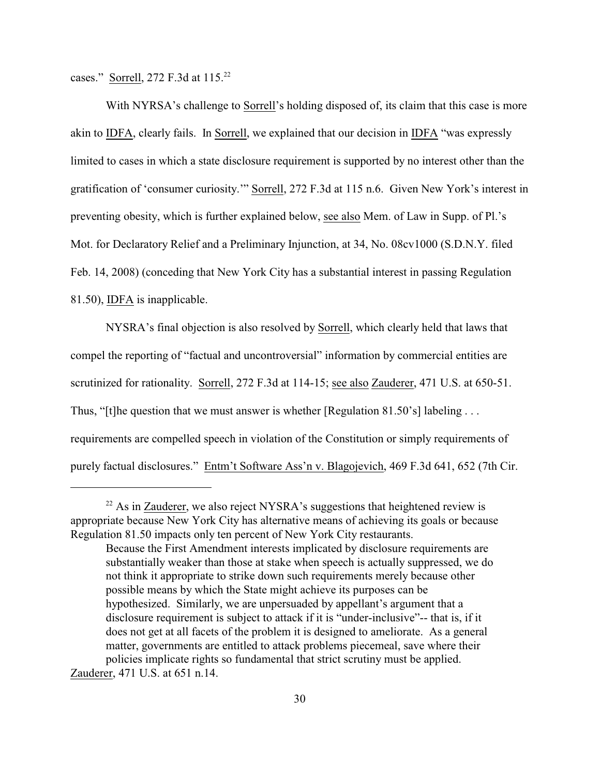cases." Sorrell, 272 F.3d at 115.<sup>22</sup>

With NYRSA's challenge to Sorrell's holding disposed of, its claim that this case is more akin to IDFA, clearly fails. In Sorrell, we explained that our decision in IDFA "was expressly limited to cases in which a state disclosure requirement is supported by no interest other than the gratification of 'consumer curiosity.'" Sorrell, 272 F.3d at 115 n.6. Given New York's interest in preventing obesity, which is further explained below, see also Mem. of Law in Supp. of Pl.'s Mot. for Declaratory Relief and a Preliminary Injunction, at 34, No. 08cv1000 (S.D.N.Y. filed Feb. 14, 2008) (conceding that New York City has a substantial interest in passing Regulation 81.50), IDFA is inapplicable.

NYSRA's final objection is also resolved by Sorrell, which clearly held that laws that compel the reporting of "factual and uncontroversial" information by commercial entities are scrutinized for rationality. Sorrell, 272 F.3d at 114-15; see also Zauderer, 471 U.S. at 650-51. Thus, "[t]he question that we must answer is whether [Regulation 81.50's] labeling ... requirements are compelled speech in violation of the Constitution or simply requirements of purely factual disclosures." Entm't Software Ass'n v. Blagojevich, 469 F.3d 641, 652 (7th Cir.

Zauderer, 471 U.S. at 651 n.14.

 $22$  As in Zauderer, we also reject NYSRA's suggestions that heightened review is appropriate because New York City has alternative means of achieving its goals or because Regulation 81.50 impacts only ten percent of New York City restaurants.

Because the First Amendment interests implicated by disclosure requirements are substantially weaker than those at stake when speech is actually suppressed, we do not think it appropriate to strike down such requirements merely because other possible means by which the State might achieve its purposes can be hypothesized. Similarly, we are unpersuaded by appellant's argument that a disclosure requirement is subject to attack if it is "under-inclusive"-- that is, if it does not get at all facets of the problem it is designed to ameliorate. As a general matter, governments are entitled to attack problems piecemeal, save where their policies implicate rights so fundamental that strict scrutiny must be applied.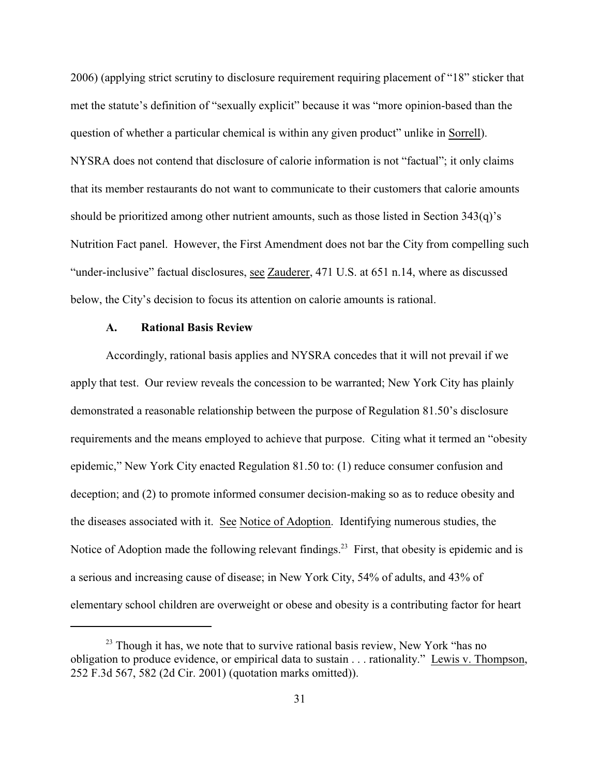2006) (applying strict scrutiny to disclosure requirement requiring placement of "18" sticker that met the statute's definition of "sexually explicit" because it was "more opinion-based than the question of whether a particular chemical is within any given product" unlike in Sorrell). NYSRA does not contend that disclosure of calorie information is not "factual"; it only claims that its member restaurants do not want to communicate to their customers that calorie amounts should be prioritized among other nutrient amounts, such as those listed in Section 343(q)'s Nutrition Fact panel. However, the First Amendment does not bar the City from compelling such "under-inclusive" factual disclosures, see Zauderer, 471 U.S. at 651 n.14, where as discussed below, the City's decision to focus its attention on calorie amounts is rational.

## **A. Rational Basis Review**

Accordingly, rational basis applies and NYSRA concedes that it will not prevail if we apply that test. Our review reveals the concession to be warranted; New York City has plainly demonstrated a reasonable relationship between the purpose of Regulation 81.50's disclosure requirements and the means employed to achieve that purpose. Citing what it termed an "obesity epidemic," New York City enacted Regulation 81.50 to: (1) reduce consumer confusion and deception; and (2) to promote informed consumer decision-making so as to reduce obesity and the diseases associated with it. See Notice of Adoption. Identifying numerous studies, the Notice of Adoption made the following relevant findings.<sup>23</sup> First, that obesity is epidemic and is a serious and increasing cause of disease; in New York City, 54% of adults, and 43% of elementary school children are overweight or obese and obesity is a contributing factor for heart

 $23$  Though it has, we note that to survive rational basis review, New York "has no obligation to produce evidence, or empirical data to sustain . . . rationality." Lewis v. Thompson, 252 F.3d 567, 582 (2d Cir. 2001) (quotation marks omitted)).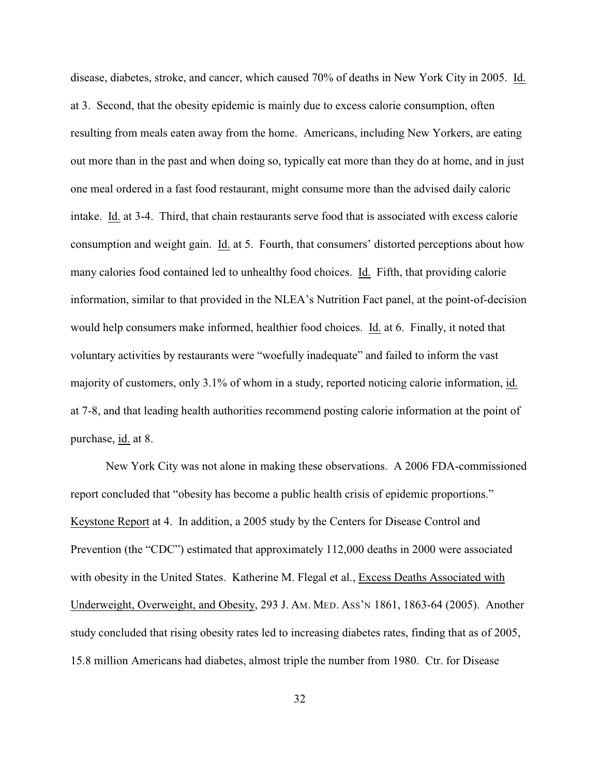disease, diabetes, stroke, and cancer, which caused 70% of deaths in New York City in 2005. Id. at 3. Second, that the obesity epidemic is mainly due to excess calorie consumption, often resulting from meals eaten away from the home. Americans, including New Yorkers, are eating out more than in the past and when doing so, typically eat more than they do at home, and in just one meal ordered in a fast food restaurant, might consume more than the advised daily caloric intake. Id. at 3-4. Third, that chain restaurants serve food that is associated with excess calorie consumption and weight gain. Id. at 5. Fourth, that consumers' distorted perceptions about how many calories food contained led to unhealthy food choices. Id. Fifth, that providing calorie information, similar to that provided in the NLEA's Nutrition Fact panel, at the point-of-decision would help consumers make informed, healthier food choices. Id. at 6. Finally, it noted that voluntary activities by restaurants were "woefully inadequate" and failed to inform the vast majority of customers, only 3.1% of whom in a study, reported noticing calorie information, id. at 7-8, and that leading health authorities recommend posting calorie information at the point of purchase, id. at 8.

New York City was not alone in making these observations. A 2006 FDA-commissioned report concluded that "obesity has become a public health crisis of epidemic proportions." Keystone Report at 4. In addition, a 2005 study by the Centers for Disease Control and Prevention (the "CDC") estimated that approximately 112,000 deaths in 2000 were associated with obesity in the United States. Katherine M. Flegal et al., Excess Deaths Associated with Underweight, Overweight, and Obesity, 293 J. AM. MED. ASS'N 1861, 1863-64 (2005). Another study concluded that rising obesity rates led to increasing diabetes rates, finding that as of 2005, 15.8 million Americans had diabetes, almost triple the number from 1980. Ctr. for Disease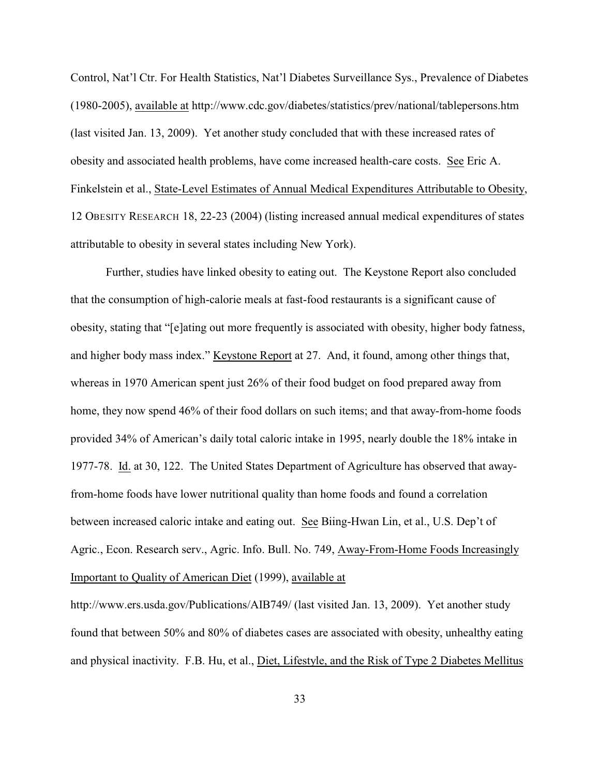Control, Nat'l Ctr. For Health Statistics, Nat'l Diabetes Surveillance Sys., Prevalence of Diabetes (1980-2005), available at http://www.cdc.gov/diabetes/statistics/prev/national/tablepersons.htm (last visited Jan. 13, 2009). Yet another study concluded that with these increased rates of obesity and associated health problems, have come increased health-care costs. See Eric A. Finkelstein et al., State-Level Estimates of Annual Medical Expenditures Attributable to Obesity, 12 OBESITY RESEARCH 18, 22-23 (2004) (listing increased annual medical expenditures of states attributable to obesity in several states including New York).

Further, studies have linked obesity to eating out. The Keystone Report also concluded that the consumption of high-calorie meals at fast-food restaurants is a significant cause of obesity, stating that "[e]ating out more frequently is associated with obesity, higher body fatness, and higher body mass index." Keystone Report at 27. And, it found, among other things that, whereas in 1970 American spent just 26% of their food budget on food prepared away from home, they now spend 46% of their food dollars on such items; and that away-from-home foods provided 34% of American's daily total caloric intake in 1995, nearly double the 18% intake in 1977-78. Id. at 30, 122. The United States Department of Agriculture has observed that awayfrom-home foods have lower nutritional quality than home foods and found a correlation between increased caloric intake and eating out. See Biing-Hwan Lin, et al., U.S. Dep't of Agric., Econ. Research serv., Agric. Info. Bull. No. 749, Away-From-Home Foods Increasingly Important to Quality of American Diet (1999), available at

http://www.ers.usda.gov/Publications/AIB749/ (last visited Jan. 13, 2009). Yet another study found that between 50% and 80% of diabetes cases are associated with obesity, unhealthy eating and physical inactivity. F.B. Hu, et al., Diet, Lifestyle, and the Risk of Type 2 Diabetes Mellitus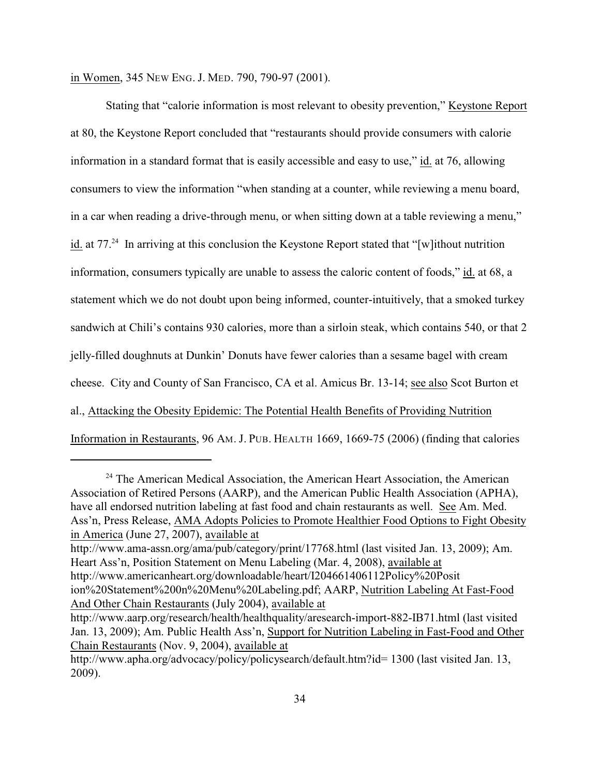in Women, 345 NEW ENG. J. MED. 790, 790-97 (2001).

Stating that "calorie information is most relevant to obesity prevention," Keystone Report at 80, the Keystone Report concluded that "restaurants should provide consumers with calorie information in a standard format that is easily accessible and easy to use," id. at 76, allowing consumers to view the information "when standing at a counter, while reviewing a menu board, in a car when reading a drive-through menu, or when sitting down at a table reviewing a menu," id. at  $77<sup>24</sup>$  In arriving at this conclusion the Keystone Report stated that "[w] ithout nutrition information, consumers typically are unable to assess the caloric content of foods," id. at 68, a statement which we do not doubt upon being informed, counter-intuitively, that a smoked turkey sandwich at Chili's contains 930 calories, more than a sirloin steak, which contains 540, or that 2 jelly-filled doughnuts at Dunkin' Donuts have fewer calories than a sesame bagel with cream cheese. City and County of San Francisco, CA et al. Amicus Br. 13-14; see also Scot Burton et al., Attacking the Obesity Epidemic: The Potential Health Benefits of Providing Nutrition Information in Restaurants, 96 AM. J. PUB. HEALTH 1669, 1669-75 (2006) (finding that calories

 $24$  The American Medical Association, the American Heart Association, the American Association of Retired Persons (AARP), and the American Public Health Association (APHA), have all endorsed nutrition labeling at fast food and chain restaurants as well. See Am. Med. Ass'n, Press Release, AMA Adopts Policies to Promote Healthier Food Options to Fight Obesity in America (June 27, 2007), available at

http://www.ama-assn.org/ama/pub/category/print/17768.html (last visited Jan. 13, 2009); Am. Heart Ass'n, Position Statement on Menu Labeling (Mar. 4, 2008), available at http://www.americanheart.org/downloadable/heart/I204661406112Policy%20Posit ion%20Statement%200n%20Menu%20Labeling.pdf; AARP, Nutrition Labeling At Fast-Food And Other Chain Restaurants (July 2004), available at

http://www.aarp.org/research/health/healthquality/aresearch-import-882-IB71.html (last visited Jan. 13, 2009); Am. Public Health Ass'n, Support for Nutrition Labeling in Fast-Food and Other Chain Restaurants (Nov. 9, 2004), available at

http://www.apha.org/advocacy/policy/policysearch/default.htm?id= 1300 (last visited Jan. 13, 2009).